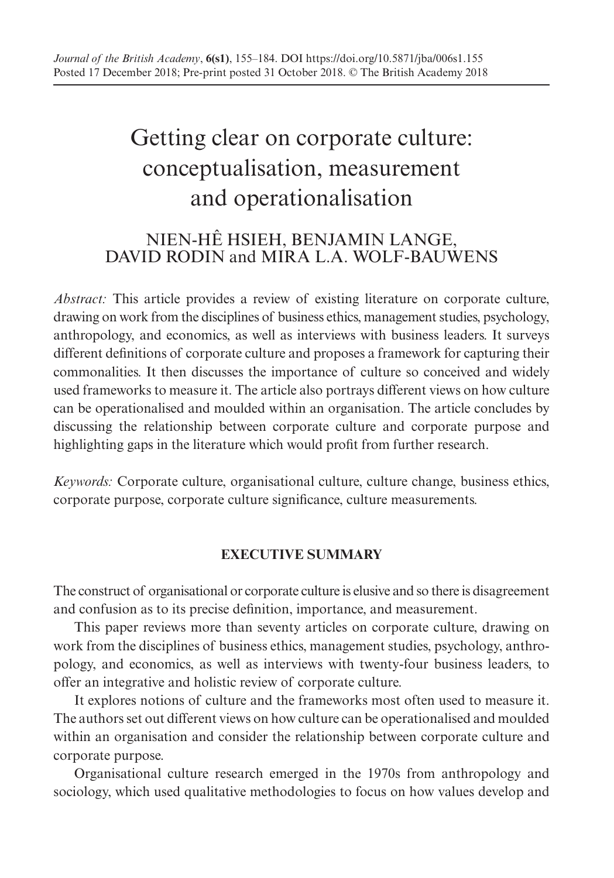# Getting clear on corporate culture: conceptualisation, measurement and operationalisation

# NIEN-HÊ HSIEH, BENJAMIN LANGE, DAVID RODIN and MIRA L.A. WOLF-BAUWENS

*Abstract:* This article provides a review of existing literature on corporate culture, drawing on work from the disciplines of business ethics, management studies, psychology, anthropology, and economics, as well as interviews with business leaders. It surveys different definitions of corporate culture and proposes a framework for capturing their commonalities. It then discusses the importance of culture so conceived and widely used frameworks to measure it. The article also portrays different views on how culture can be operationalised and moulded within an organisation. The article concludes by discussing the relationship between corporate culture and corporate purpose and highlighting gaps in the literature which would profit from further research.

*Keywords:* Corporate culture, organisational culture, culture change, business ethics, corporate purpose, corporate culture significance, culture measurements.

# **EXECUTIVE SUMMARY**

The construct of organisational or corporate culture is elusive and so there is disagreement and confusion as to its precise definition, importance, and measurement.

This paper reviews more than seventy articles on corporate culture, drawing on work from the disciplines of business ethics, management studies, psychology, anthropology, and economics, as well as interviews with twenty-four business leaders, to offer an integrative and holistic review of corporate culture.

It explores notions of culture and the frameworks most often used to measure it. The authors set out different views on how culture can be operationalised and moulded within an organisation and consider the relationship between corporate culture and corporate purpose.

Organisational culture research emerged in the 1970s from anthropology and sociology, which used qualitative methodologies to focus on how values develop and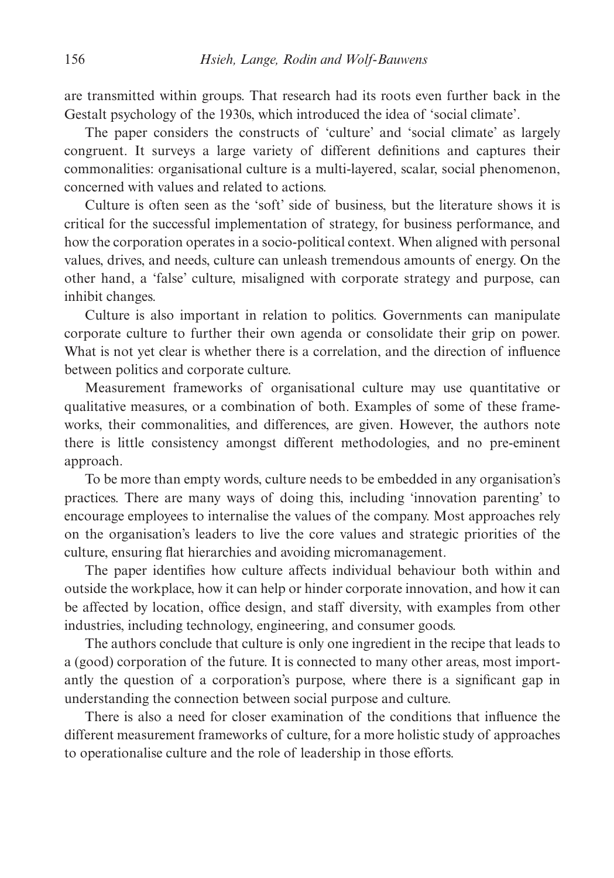are transmitted within groups. That research had its roots even further back in the Gestalt psychology of the 1930s, which introduced the idea of 'social climate'.

The paper considers the constructs of 'culture' and 'social climate' as largely congruent. It surveys a large variety of different definitions and captures their commonalities: organisational culture is a multi-layered, scalar, social phenomenon, concerned with values and related to actions.

Culture is often seen as the 'soft' side of business, but the literature shows it is critical for the successful implementation of strategy, for business performance, and how the corporation operates in a socio-political context. When aligned with personal values, drives, and needs, culture can unleash tremendous amounts of energy. On the other hand, a 'false' culture, misaligned with corporate strategy and purpose, can inhibit changes.

Culture is also important in relation to politics. Governments can manipulate corporate culture to further their own agenda or consolidate their grip on power. What is not yet clear is whether there is a correlation, and the direction of influence between politics and corporate culture.

Measurement frameworks of organisational culture may use quantitative or qualitative measures, or a combination of both. Examples of some of these frameworks, their commonalities, and differences, are given. However, the authors note there is little consistency amongst different methodologies, and no pre-eminent approach.

To be more than empty words, culture needs to be embedded in any organisation's practices. There are many ways of doing this, including 'innovation parenting' to encourage employees to internalise the values of the company. Most approaches rely on the organisation's leaders to live the core values and strategic priorities of the culture, ensuring flat hierarchies and avoiding micromanagement.

The paper identifies how culture affects individual behaviour both within and outside the workplace, how it can help or hinder corporate innovation, and how it can be affected by location, office design, and staff diversity, with examples from other industries, including technology, engineering, and consumer goods.

The authors conclude that culture is only one ingredient in the recipe that leads to a (good) corporation of the future. It is connected to many other areas, most importantly the question of a corporation's purpose, where there is a significant gap in understanding the connection between social purpose and culture.

There is also a need for closer examination of the conditions that influence the different measurement frameworks of culture, for a more holistic study of approaches to operationalise culture and the role of leadership in those efforts.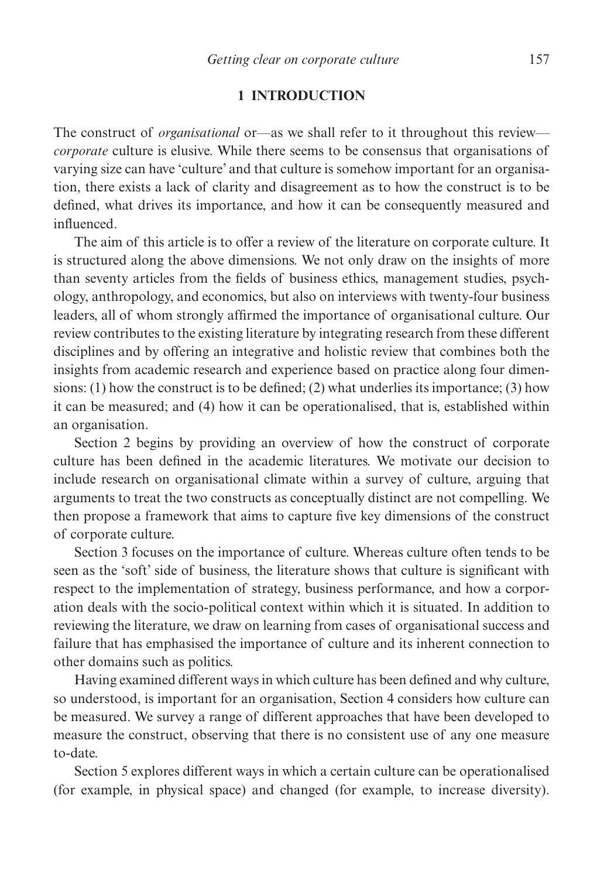#### **1 INTRODUCTION**

The construct of *organisational* or—as we shall refer to it throughout this review *corporate* culture is elusive. While there seems to be consensus that organisations of varying size can have 'culture' and that culture is somehow important for an organisation, there exists a lack of clarity and disagreement as to how the construct is to be defined, what drives its importance, and how it can be consequently measured and influenced.

The aim of this article is to offer a review of the literature on corporate culture. It is structured along the above dimensions. We not only draw on the insights of more than seventy articles from the fields of business ethics, management studies, psychology, anthropology, and economics, but also on interviews with twenty-four business leaders, all of whom strongly affirmed the importance of organisational culture. Our review contributes to the existing literature by integrating research from these different disciplines and by offering an integrative and holistic review that combines both the insights from academic research and experience based on practice along four dimensions: (1) how the construct is to be defined; (2) what underlies its importance; (3) how it can be measured; and (4) how it can be operationalised, that is, established within an organisation.

Section 2 begins by providing an overview of how the construct of corporate culture has been defined in the academic literatures. We motivate our decision to include research on organisational climate within a survey of culture, arguing that arguments to treat the two constructs as conceptually distinct are not compelling. We then propose a framework that aims to capture five key dimensions of the construct of corporate culture.

Section 3 focuses on the importance of culture. Whereas culture often tends to be seen as the 'soft' side of business, the literature shows that culture is significant with respect to the implementation of strategy, business performance, and how a corporation deals with the socio-political context within which it is situated. In addition to reviewing the literature, we draw on learning from cases of organisational success and failure that has emphasised the importance of culture and its inherent connection to other domains such as politics.

Having examined different ways in which culture has been defined and why culture, so understood, is important for an organisation, Section 4 considers how culture can be measured. We survey a range of different approaches that have been developed to measure the construct, observing that there is no consistent use of any one measure to-date.

Section 5 explores different ways in which a certain culture can be operationalised (for example, in physical space) and changed (for example, to increase diversity).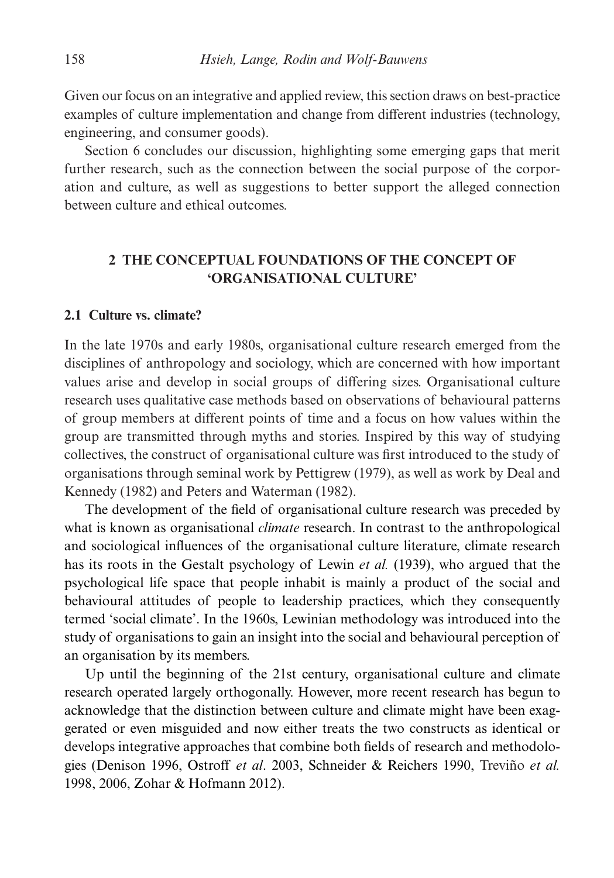Given our focus on an integrative and applied review, this section draws on best-practice examples of culture implementation and change from different industries (technology, engineering, and consumer goods).

Section 6 concludes our discussion, highlighting some emerging gaps that merit further research, such as the connection between the social purpose of the corporation and culture, as well as suggestions to better support the alleged connection between culture and ethical outcomes.

# **2 THE CONCEPTUAL FOUNDATIONS OF THE CONCEPT OF 'ORGANISATIONAL CULTURE'**

# **2.1 Culture vs. climate?**

In the late 1970s and early 1980s, organisational culture research emerged from the disciplines of anthropology and sociology, which are concerned with how important values arise and develop in social groups of differing sizes. Organisational culture research uses qualitative case methods based on observations of behavioural patterns of group members at different points of time and a focus on how values within the group are transmitted through myths and stories. Inspired by this way of studying collectives, the construct of organisational culture was first introduced to the study of organisations through seminal work by Pettigrew (1979), as well as work by Deal and Kennedy (1982) and Peters and Waterman (1982).

The development of the field of organisational culture research was preceded by what is known as organisational *climate* research. In contrast to the anthropological and sociological influences of the organisational culture literature, climate research has its roots in the Gestalt psychology of Lewin *et al.* (1939), who argued that the psychological life space that people inhabit is mainly a product of the social and behavioural attitudes of people to leadership practices, which they consequently termed 'social climate'. In the 1960s, Lewinian methodology was introduced into the study of organisations to gain an insight into the social and behavioural perception of an organisation by its members.

Up until the beginning of the 21st century, organisational culture and climate research operated largely orthogonally. However, more recent research has begun to acknowledge that the distinction between culture and climate might have been exaggerated or even misguided and now either treats the two constructs as identical or develops integrative approaches that combine both fields of research and methodologies (Denison 1996, Ostroff *et al*. 2003, Schneider & Reichers 1990, Treviño *et al.* 1998, 2006, Zohar & Hofmann 2012).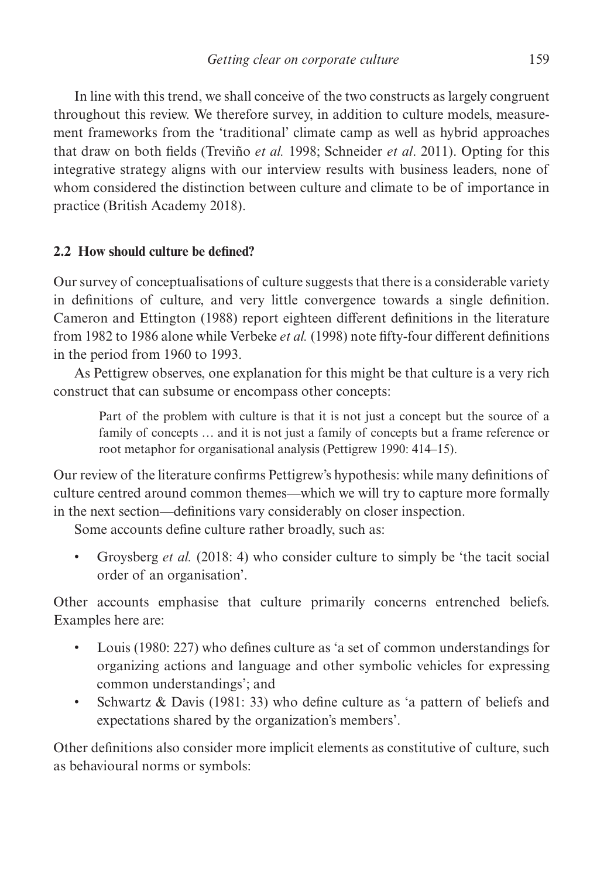In line with this trend, we shall conceive of the two constructs as largely congruent throughout this review. We therefore survey, in addition to culture models, measurement frameworks from the 'traditional' climate camp as well as hybrid approaches that draw on both fields (Treviño *et al.* 1998; Schneider *et al*. 2011). Opting for this integrative strategy aligns with our interview results with business leaders, none of whom considered the distinction between culture and climate to be of importance in practice (British Academy 2018).

# **2.2 How should culture be defined?**

Our survey of conceptualisations of culture suggests that there is a considerable variety in definitions of culture, and very little convergence towards a single definition. Cameron and Ettington (1988) report eighteen different definitions in the literature from 1982 to 1986 alone while Verbeke *et al.* (1998) note fifty-four different definitions in the period from 1960 to 1993.

As Pettigrew observes, one explanation for this might be that culture is a very rich construct that can subsume or encompass other concepts:

Part of the problem with culture is that it is not just a concept but the source of a family of concepts … and it is not just a family of concepts but a frame reference or root metaphor for organisational analysis (Pettigrew 1990: 414–15).

Our review of the literature confirms Pettigrew's hypothesis: while many definitions of culture centred around common themes—which we will try to capture more formally in the next section—definitions vary considerably on closer inspection.

Some accounts define culture rather broadly, such as:

• Groysberg *et al.* (2018: 4) who consider culture to simply be 'the tacit social order of an organisation'.

Other accounts emphasise that culture primarily concerns entrenched beliefs. Examples here are:

- Louis (1980: 227) who defines culture as 'a set of common understandings for organizing actions and language and other symbolic vehicles for expressing common understandings'; and
- Schwartz & Davis (1981: 33) who define culture as 'a pattern of beliefs and expectations shared by the organization's members'.

Other definitions also consider more implicit elements as constitutive of culture, such as behavioural norms or symbols: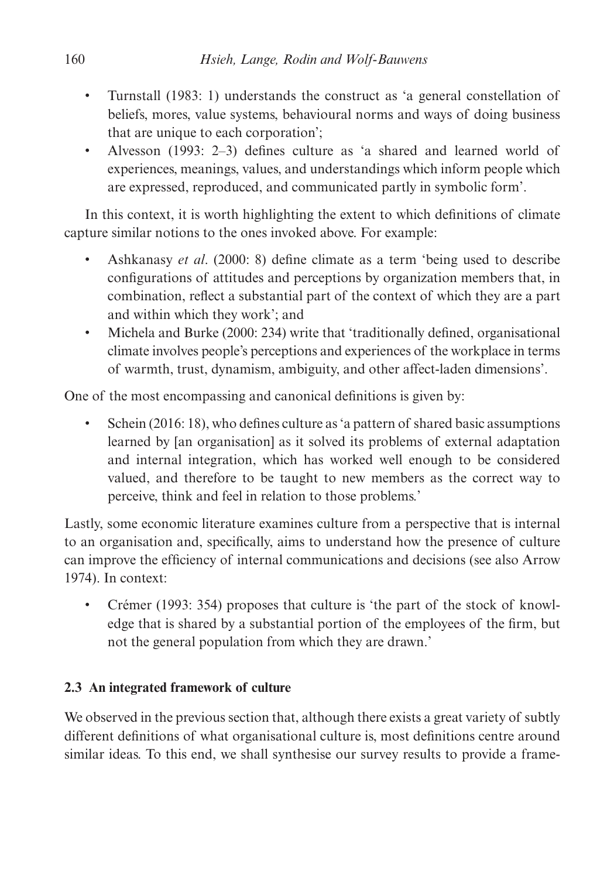- Turnstall (1983: 1) understands the construct as 'a general constellation of beliefs, mores, value systems, behavioural norms and ways of doing business that are unique to each corporation';
- Alvesson (1993: 2–3) defines culture as 'a shared and learned world of experiences, meanings, values, and understandings which inform people which are expressed, reproduced, and communicated partly in symbolic form'.

In this context, it is worth highlighting the extent to which definitions of climate capture similar notions to the ones invoked above. For example:

- Ashkanasy *et al*. (2000: 8) define climate as a term 'being used to describe configurations of attitudes and perceptions by organization members that, in combination, reflect a substantial part of the context of which they are a part and within which they work'; and
- Michela and Burke (2000: 234) write that 'traditionally defined, organisational climate involves people's perceptions and experiences of the workplace in terms of warmth, trust, dynamism, ambiguity, and other affect-laden dimensions'.

One of the most encompassing and canonical definitions is given by:

• Schein (2016: 18), who defines culture as 'a pattern of shared basic assumptions learned by [an organisation] as it solved its problems of external adaptation and internal integration, which has worked well enough to be considered valued, and therefore to be taught to new members as the correct way to perceive, think and feel in relation to those problems.'

Lastly, some economic literature examines culture from a perspective that is internal to an organisation and, specifically, aims to understand how the presence of culture can improve the efficiency of internal communications and decisions (see also Arrow 1974). In context:

• Crémer (1993: 354) proposes that culture is 'the part of the stock of knowledge that is shared by a substantial portion of the employees of the firm, but not the general population from which they are drawn.'

# **2.3 An integrated framework of culture**

We observed in the previous section that, although there exists a great variety of subtly different definitions of what organisational culture is, most definitions centre around similar ideas. To this end, we shall synthesise our survey results to provide a frame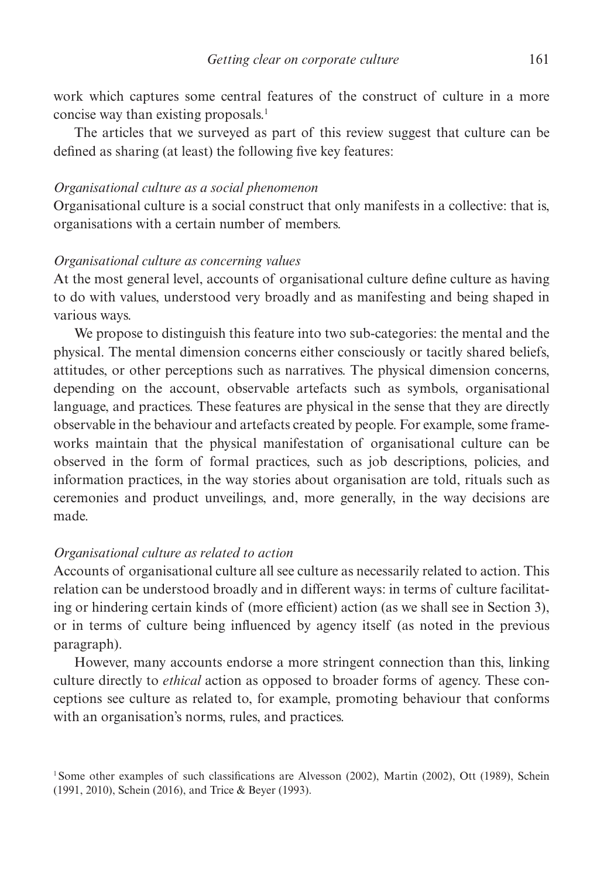work which captures some central features of the construct of culture in a more concise way than existing proposals.<sup>1</sup>

The articles that we surveyed as part of this review suggest that culture can be defined as sharing (at least) the following five key features:

#### *Organisational culture as a social phenomenon*

Organisational culture is a social construct that only manifests in a collective: that is, organisations with a certain number of members.

# *Organisational culture as concerning values*

At the most general level, accounts of organisational culture define culture as having to do with values, understood very broadly and as manifesting and being shaped in various ways.

We propose to distinguish this feature into two sub-categories: the mental and the physical. The mental dimension concerns either consciously or tacitly shared beliefs, attitudes, or other perceptions such as narratives. The physical dimension concerns, depending on the account, observable artefacts such as symbols, organisational language, and practices. These features are physical in the sense that they are directly observable in the behaviour and artefacts created by people. For example, some frameworks maintain that the physical manifestation of organisational culture can be observed in the form of formal practices, such as job descriptions, policies, and information practices, in the way stories about organisation are told, rituals such as ceremonies and product unveilings, and, more generally, in the way decisions are made.

# *Organisational culture as related to action*

Accounts of organisational culture all see culture as necessarily related to action. This relation can be understood broadly and in different ways: in terms of culture facilitating or hindering certain kinds of (more efficient) action (as we shall see in Section 3), or in terms of culture being influenced by agency itself (as noted in the previous paragraph).

However, many accounts endorse a more stringent connection than this, linking culture directly to *ethical* action as opposed to broader forms of agency. These conceptions see culture as related to, for example, promoting behaviour that conforms with an organisation's norms, rules, and practices.

<sup>&</sup>lt;sup>1</sup>Some other examples of such classifications are Alvesson (2002), Martin (2002), Ott (1989), Schein (1991, 2010), Schein (2016), and Trice & Beyer (1993).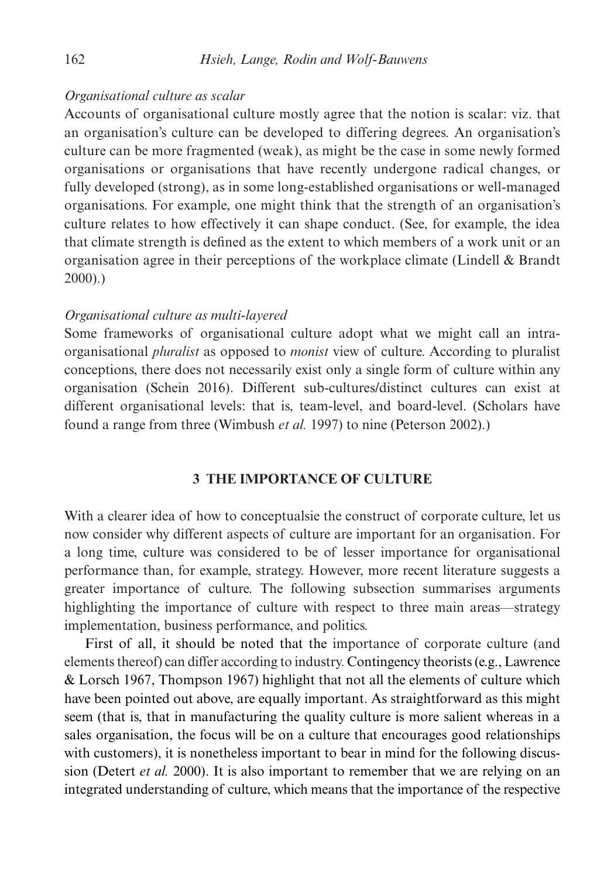# *Organisational culture as scalar*

Accounts of organisational culture mostly agree that the notion is scalar: viz. that an organisation's culture can be developed to differing degrees. An organisation's culture can be more fragmented (weak), as might be the case in some newly formed organisations or organisations that have recently undergone radical changes, or fully developed (strong), as in some long-established organisations or well-managed organisations. For example, one might think that the strength of an organisation's culture relates to how effectively it can shape conduct. (See, for example, the idea that climate strength is defined as the extent to which members of a work unit or an organisation agree in their perceptions of the workplace climate (Lindell & Brandt 2000).)

# *Organisational culture as multi-layered*

Some frameworks of organisational culture adopt what we might call an intraorganisational *pluralist* as opposed to *monist* view of culture. According to pluralist conceptions, there does not necessarily exist only a single form of culture within any organisation (Schein 2016). Different sub-cultures/distinct cultures can exist at different organisational levels: that is, team-level, and board-level. (Scholars have found a range from three (Wimbush *et al.* 1997) to nine (Peterson 2002).)

# **3 THE IMPORTANCE OF CULTURE**

With a clearer idea of how to conceptualsie the construct of corporate culture, let us now consider why different aspects of culture are important for an organisation. For a long time, culture was considered to be of lesser importance for organisational performance than, for example, strategy. However, more recent literature suggests a greater importance of culture. The following subsection summarises arguments highlighting the importance of culture with respect to three main areas—strategy implementation, business performance, and politics.

First of all, it should be noted that the importance of corporate culture (and elements thereof) can differ according to industry. Contingency theorists (e.g., Lawrence & Lorsch 1967, Thompson 1967) highlight that not all the elements of culture which have been pointed out above, are equally important. As straightforward as this might seem (that is, that in manufacturing the quality culture is more salient whereas in a sales organisation, the focus will be on a culture that encourages good relationships with customers), it is nonetheless important to bear in mind for the following discussion (Detert *et al.* 2000). It is also important to remember that we are relying on an integrated understanding of culture, which means that the importance of the respective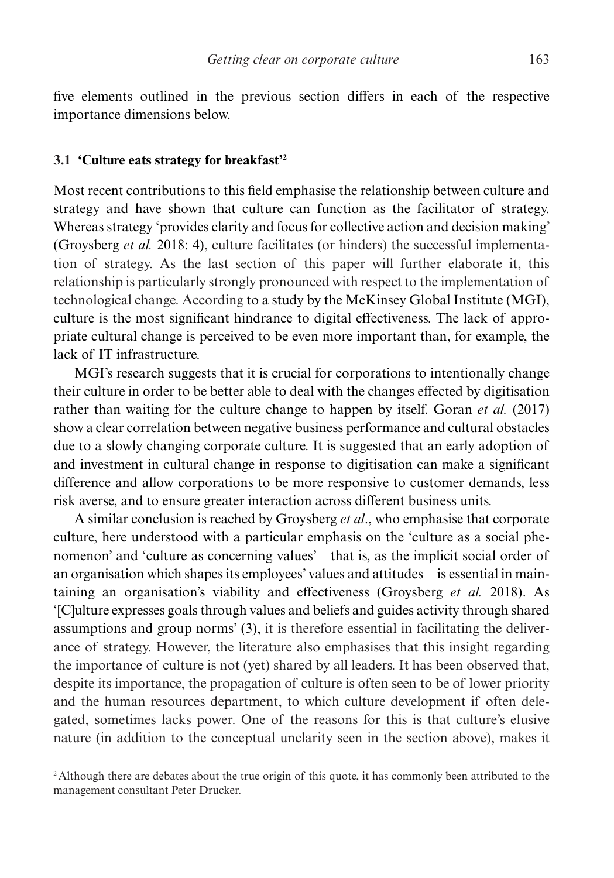five elements outlined in the previous section differs in each of the respective importance dimensions below.

#### **3.1 'Culture eats strategy for breakfast'2**

Most recent contributions to this field emphasise the relationship between culture and strategy and have shown that culture can function as the facilitator of strategy. Whereas strategy 'provides clarity and focus for collective action and decision making' (Groysberg *et al.* 2018: 4), culture facilitates (or hinders) the successful implementation of strategy. As the last section of this paper will further elaborate it, this relationship is particularly strongly pronounced with respect to the implementation of technological change. According to a study by the McKinsey Global Institute (MGI), culture is the most significant hindrance to digital effectiveness. The lack of appropriate cultural change is perceived to be even more important than, for example, the lack of IT infrastructure.

MGI's research suggests that it is crucial for corporations to intentionally change their culture in order to be better able to deal with the changes effected by digitisation rather than waiting for the culture change to happen by itself. Goran *et al.* (2017) show a clear correlation between negative business performance and cultural obstacles due to a slowly changing corporate culture. It is suggested that an early adoption of and investment in cultural change in response to digitisation can make a significant difference and allow corporations to be more responsive to customer demands, less risk averse, and to ensure greater interaction across different business units.

A similar conclusion is reached by Groysberg *et al*., who emphasise that corporate culture, here understood with a particular emphasis on the 'culture as a social phenomenon' and 'culture as concerning values'—that is, as the implicit social order of an organisation which shapes its employees' values and attitudes—is essential in maintaining an organisation's viability and effectiveness (Groysberg *et al.* 2018). As '[C]ulture expresses goals through values and beliefs and guides activity through shared assumptions and group norms' (3), it is therefore essential in facilitating the deliverance of strategy. However, the literature also emphasises that this insight regarding the importance of culture is not (yet) shared by all leaders. It has been observed that, despite its importance, the propagation of culture is often seen to be of lower priority and the human resources department, to which culture development if often delegated, sometimes lacks power. One of the reasons for this is that culture's elusive nature (in addition to the conceptual unclarity seen in the section above), makes it

<sup>&</sup>lt;sup>2</sup>Although there are debates about the true origin of this quote, it has commonly been attributed to the management consultant Peter Drucker.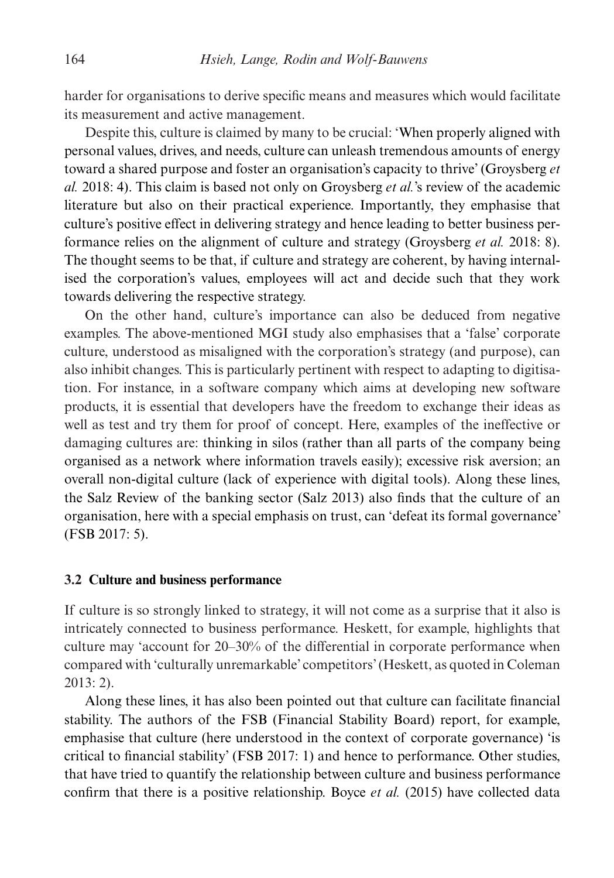harder for organisations to derive specific means and measures which would facilitate its measurement and active management.

Despite this, culture is claimed by many to be crucial: 'When properly aligned with personal values, drives, and needs, culture can unleash tremendous amounts of energy toward a shared purpose and foster an organisation's capacity to thrive' (Groysberg *et al.* 2018: 4). This claim is based not only on Groysberg *et al.*'s review of the academic literature but also on their practical experience. Importantly, they emphasise that culture's positive effect in delivering strategy and hence leading to better business performance relies on the alignment of culture and strategy (Groysberg *et al.* 2018: 8). The thought seems to be that, if culture and strategy are coherent, by having internalised the corporation's values, employees will act and decide such that they work towards delivering the respective strategy.

On the other hand, culture's importance can also be deduced from negative examples. The above-mentioned MGI study also emphasises that a 'false' corporate culture, understood as misaligned with the corporation's strategy (and purpose), can also inhibit changes. This is particularly pertinent with respect to adapting to digitisation. For instance, in a software company which aims at developing new software products, it is essential that developers have the freedom to exchange their ideas as well as test and try them for proof of concept. Here, examples of the ineffective or damaging cultures are: thinking in silos (rather than all parts of the company being organised as a network where information travels easily); excessive risk aversion; an overall non-digital culture (lack of experience with digital tools). Along these lines, the Salz Review of the banking sector (Salz 2013) also finds that the culture of an organisation, here with a special emphasis on trust, can 'defeat its formal governance' (FSB 2017: 5).

#### **3.2 Culture and business performance**

If culture is so strongly linked to strategy, it will not come as a surprise that it also is intricately connected to business performance. Heskett, for example, highlights that culture may 'account for 20–30% of the differential in corporate performance when compared with 'culturally unremarkable' competitors' (Heskett, as quoted in Coleman 2013: 2).

Along these lines, it has also been pointed out that culture can facilitate financial stability. The authors of the FSB (Financial Stability Board) report, for example, emphasise that culture (here understood in the context of corporate governance) 'is critical to financial stability' (FSB 2017: 1) and hence to performance. Other studies, that have tried to quantify the relationship between culture and business performance confirm that there is a positive relationship. Boyce *et al.* (2015) have collected data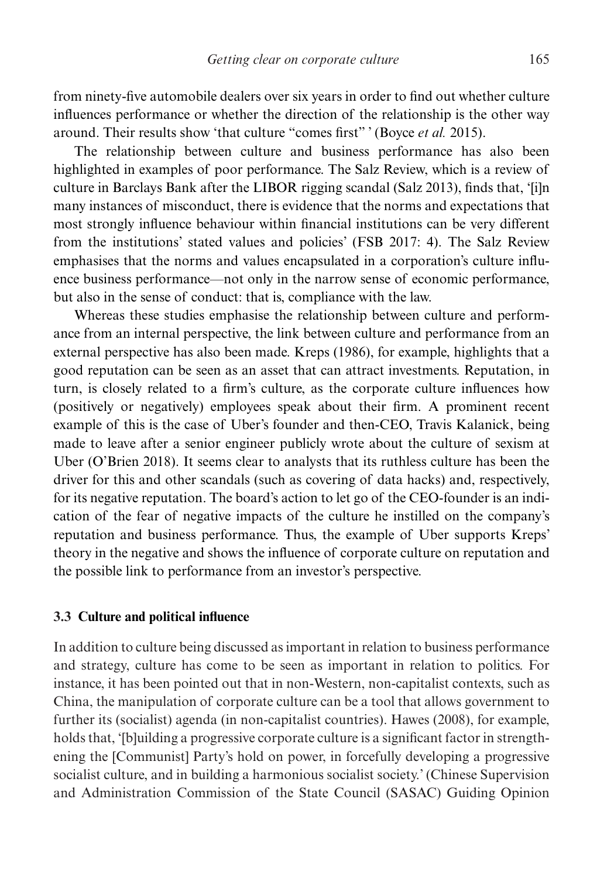from ninety-five automobile dealers over six years in order to find out whether culture influences performance or whether the direction of the relationship is the other way around. Their results show 'that culture "comes first" ' (Boyce *et al.* 2015).

The relationship between culture and business performance has also been highlighted in examples of poor performance. The Salz Review, which is a review of culture in Barclays Bank after the LIBOR rigging scandal (Salz 2013), finds that, '[i]n many instances of misconduct, there is evidence that the norms and expectations that most strongly influence behaviour within financial institutions can be very different from the institutions' stated values and policies' (FSB 2017: 4). The Salz Review emphasises that the norms and values encapsulated in a corporation's culture influence business performance—not only in the narrow sense of economic performance, but also in the sense of conduct: that is, compliance with the law.

Whereas these studies emphasise the relationship between culture and performance from an internal perspective, the link between culture and performance from an external perspective has also been made. Kreps (1986), for example, highlights that a good reputation can be seen as an asset that can attract investments. Reputation, in turn, is closely related to a firm's culture, as the corporate culture influences how (positively or negatively) employees speak about their firm. A prominent recent example of this is the case of Uber's founder and then-CEO, Travis Kalanick, being made to leave after a senior engineer publicly wrote about the culture of sexism at Uber (O'Brien 2018). It seems clear to analysts that its ruthless culture has been the driver for this and other scandals (such as covering of data hacks) and, respectively, for its negative reputation. The board's action to let go of the CEO-founder is an indication of the fear of negative impacts of the culture he instilled on the company's reputation and business performance. Thus, the example of Uber supports Kreps' theory in the negative and shows the influence of corporate culture on reputation and the possible link to performance from an investor's perspective.

# **3.3 Culture and political influence**

In addition to culture being discussed as important in relation to business performance and strategy, culture has come to be seen as important in relation to politics. For instance, it has been pointed out that in non-Western, non-capitalist contexts, such as China, the manipulation of corporate culture can be a tool that allows government to further its (socialist) agenda (in non-capitalist countries). Hawes (2008), for example, holds that, '[b]uilding a progressive corporate culture is a significant factor in strengthening the [Communist] Party's hold on power, in forcefully developing a progressive socialist culture, and in building a harmonious socialist society.' (Chinese Supervision and Administration Commission of the State Council (SASAC) Guiding Opinion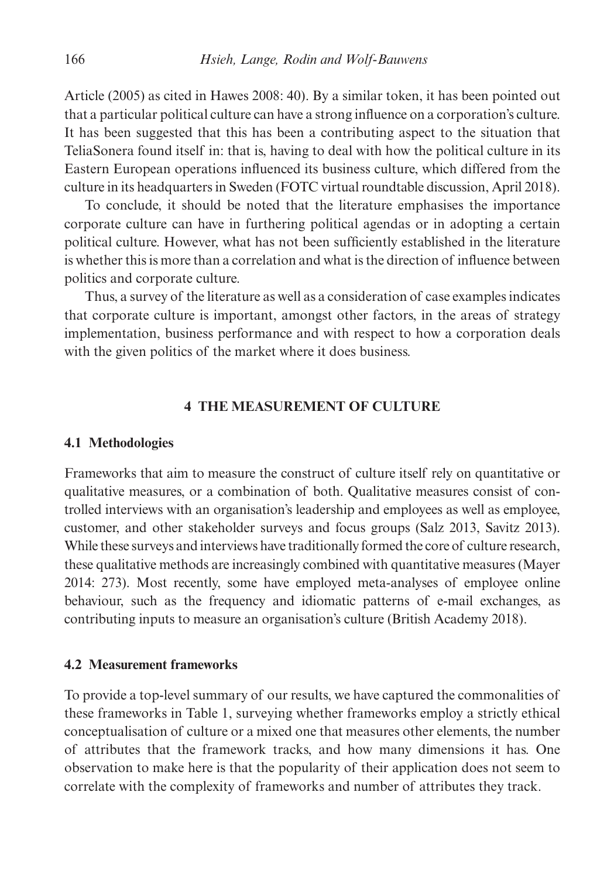Article (2005) as cited in Hawes 2008: 40). By a similar token, it has been pointed out that a particular political culture can have a strong influence on a corporation's culture. It has been suggested that this has been a contributing aspect to the situation that TeliaSonera found itself in: that is, having to deal with how the political culture in its Eastern European operations influenced its business culture, which differed from the culture in its headquarters in Sweden (FOTC virtual roundtable discussion, April 2018).

To conclude, it should be noted that the literature emphasises the importance corporate culture can have in furthering political agendas or in adopting a certain political culture. However, what has not been sufficiently established in the literature is whether this is more than a correlation and what is the direction of influence between politics and corporate culture.

Thus, a survey of the literature as well as a consideration of case examples indicates that corporate culture is important, amongst other factors, in the areas of strategy implementation, business performance and with respect to how a corporation deals with the given politics of the market where it does business.

# **4 THE MEASUREMENT OF CULTURE**

# **4.1 Methodologies**

Frameworks that aim to measure the construct of culture itself rely on quantitative or qualitative measures, or a combination of both. Qualitative measures consist of controlled interviews with an organisation's leadership and employees as well as employee, customer, and other stakeholder surveys and focus groups (Salz 2013, Savitz 2013). While these surveys and interviews have traditionally formed the core of culture research, these qualitative methods are increasingly combined with quantitative measures (Mayer 2014: 273). Most recently, some have employed meta-analyses of employee online behaviour, such as the frequency and idiomatic patterns of e-mail exchanges, as contributing inputs to measure an organisation's culture (British Academy 2018).

# **4.2 Measurement frameworks**

To provide a top-level summary of our results, we have captured the commonalities of these frameworks in Table 1, surveying whether frameworks employ a strictly ethical conceptualisation of culture or a mixed one that measures other elements, the number of attributes that the framework tracks, and how many dimensions it has. One observation to make here is that the popularity of their application does not seem to correlate with the complexity of frameworks and number of attributes they track.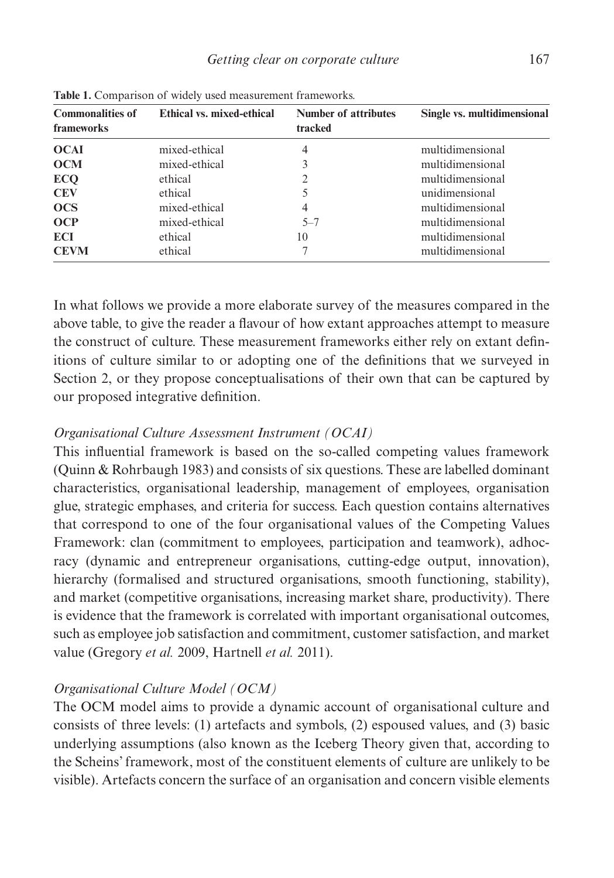| <b>THOICE:</b> COMPUTION OF WIGHT GOOG MORGHAMMICH, HUMOWOTHO. |                           |                                        |                             |
|----------------------------------------------------------------|---------------------------|----------------------------------------|-----------------------------|
| <b>Commonalities of</b><br>frameworks                          | Ethical vs. mixed-ethical | <b>Number of attributes</b><br>tracked | Single vs. multidimensional |
| <b>OCAI</b>                                                    | mixed-ethical             | 4                                      | multidimensional            |
| <b>OCM</b>                                                     | mixed-ethical             | 3                                      | multidimensional            |
| <b>ECQ</b>                                                     | ethical                   | 2                                      | multidimensional            |
| <b>CEV</b>                                                     | ethical                   | 5                                      | unidimensional              |
| <b>OCS</b>                                                     | mixed-ethical             | 4                                      | multidimensional            |
| <b>OCP</b>                                                     | mixed-ethical             | $5 - 7$                                | multidimensional            |
| <b>ECI</b>                                                     | ethical                   | 10                                     | multidimensional            |
| <b>CEVM</b>                                                    | ethical                   |                                        | multidimensional            |
|                                                                |                           |                                        |                             |

**Table 1.** Comparison of widely used measurement frameworks.

In what follows we provide a more elaborate survey of the measures compared in the above table, to give the reader a flavour of how extant approaches attempt to measure the construct of culture. These measurement frameworks either rely on extant definitions of culture similar to or adopting one of the definitions that we surveyed in Section 2, or they propose conceptualisations of their own that can be captured by our proposed integrative definition.

# *Organisational Culture Assessment Instrument (OCAI)*

This influential framework is based on the so-called competing values framework (Quinn & Rohrbaugh 1983) and consists of six questions. These are labelled dominant characteristics, organisational leadership, management of employees, organisation glue, strategic emphases, and criteria for success. Each question contains alternatives that correspond to one of the four organisational values of the Competing Values Framework: clan (commitment to employees, participation and teamwork), adhocracy (dynamic and entrepreneur organisations, cutting-edge output, innovation), hierarchy (formalised and structured organisations, smooth functioning, stability), and market (competitive organisations, increasing market share, productivity). There is evidence that the framework is correlated with important organisational outcomes, such as employee job satisfaction and commitment, customer satisfaction, and market value (Gregory *et al.* 2009, Hartnell *et al.* 2011).

# *Organisational Culture Model (OCM)*

The OCM model aims to provide a dynamic account of organisational culture and consists of three levels: (1) artefacts and symbols, (2) espoused values, and (3) basic underlying assumptions (also known as the Iceberg Theory given that, according to the Scheins' framework, most of the constituent elements of culture are unlikely to be visible). Artefacts concern the surface of an organisation and concern visible elements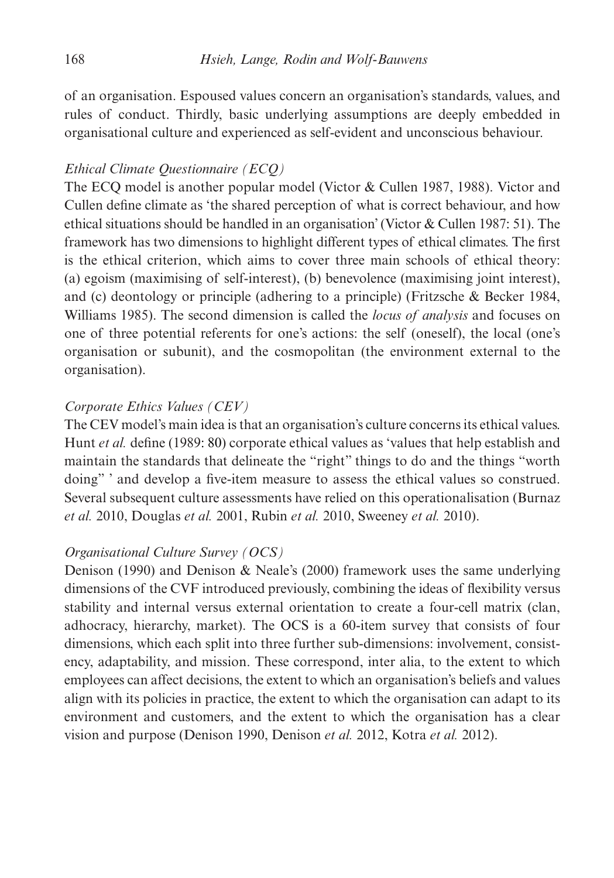of an organisation. Espoused values concern an organisation's standards, values, and rules of conduct. Thirdly, basic underlying assumptions are deeply embedded in organisational culture and experienced as self-evident and unconscious behaviour.

# *Ethical Climate Questionnaire (ECQ)*

The ECQ model is another popular model (Victor & Cullen 1987, 1988). Victor and Cullen define climate as 'the shared perception of what is correct behaviour, and how ethical situations should be handled in an organisation' (Victor & Cullen 1987: 51). The framework has two dimensions to highlight different types of ethical climates. The first is the ethical criterion, which aims to cover three main schools of ethical theory: (a) egoism (maximising of self-interest), (b) benevolence (maximising joint interest), and (c) deontology or principle (adhering to a principle) (Fritzsche & Becker 1984, Williams 1985). The second dimension is called the *locus of analysis* and focuses on one of three potential referents for one's actions: the self (oneself), the local (one's organisation or subunit), and the cosmopolitan (the environment external to the organisation).

# *Corporate Ethics Values (CEV)*

The CEV model's main idea is that an organisation's culture concerns its ethical values. Hunt *et al.* define (1989: 80) corporate ethical values as 'values that help establish and maintain the standards that delineate the "right" things to do and the things "worth doing" ' and develop a five-item measure to assess the ethical values so construed. Several subsequent culture assessments have relied on this operationalisation (Burnaz *et al.* 2010, Douglas *et al.* 2001, Rubin *et al.* 2010, Sweeney *et al.* 2010).

# *Organisational Culture Survey (OCS)*

Denison (1990) and Denison & Neale's (2000) framework uses the same underlying dimensions of the CVF introduced previously, combining the ideas of flexibility versus stability and internal versus external orientation to create a four-cell matrix (clan, adhocracy, hierarchy, market). The OCS is a 60-item survey that consists of four dimensions, which each split into three further sub-dimensions: involvement, consistency, adaptability, and mission. These correspond, inter alia, to the extent to which employees can affect decisions, the extent to which an organisation's beliefs and values align with its policies in practice, the extent to which the organisation can adapt to its environment and customers, and the extent to which the organisation has a clear vision and purpose (Denison 1990, Denison *et al.* 2012, Kotra *et al.* 2012).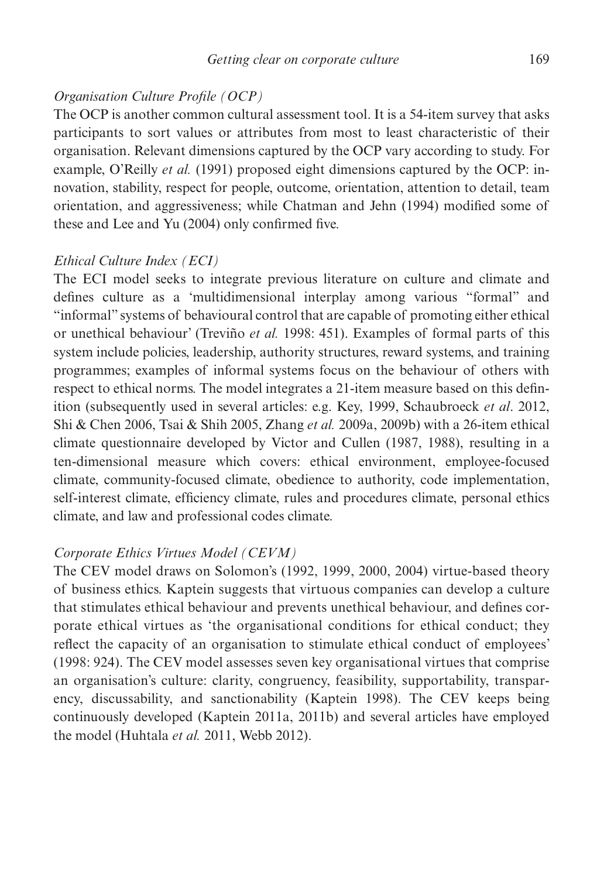# *Organisation Culture Profile (OCP)*

The OCP is another common cultural assessment tool. It is a 54-item survey that asks participants to sort values or attributes from most to least characteristic of their organisation. Relevant dimensions captured by the OCP vary according to study. For example, O'Reilly *et al.* (1991) proposed eight dimensions captured by the OCP: innovation, stability, respect for people, outcome, orientation, attention to detail, team orientation, and aggressiveness; while Chatman and Jehn (1994) modified some of these and Lee and Yu (2004) only confirmed five.

# *Ethical Culture Index (ECI)*

The ECI model seeks to integrate previous literature on culture and climate and defines culture as a 'multidimensional interplay among various "formal" and "informal" systems of behavioural control that are capable of promoting either ethical or unethical behaviour' (Treviño *et al.* 1998: 451). Examples of formal parts of this system include policies, leadership, authority structures, reward systems, and training programmes; examples of informal systems focus on the behaviour of others with respect to ethical norms. The model integrates a 21-item measure based on this definition (subsequently used in several articles: e.g. Key, 1999, Schaubroeck *et al*. 2012, Shi & Chen 2006, Tsai & Shih 2005, Zhang *et al.* 2009a, 2009b) with a 26-item ethical climate questionnaire developed by Victor and Cullen (1987, 1988), resulting in a ten-dimensional measure which covers: ethical environment, employee-focused climate, community-focused climate, obedience to authority, code implementation, self-interest climate, efficiency climate, rules and procedures climate, personal ethics climate, and law and professional codes climate.

# *Corporate Ethics Virtues Model (CEVM)*

The CEV model draws on Solomon's (1992, 1999, 2000, 2004) virtue-based theory of business ethics. Kaptein suggests that virtuous companies can develop a culture that stimulates ethical behaviour and prevents unethical behaviour, and defines corporate ethical virtues as 'the organisational conditions for ethical conduct; they reflect the capacity of an organisation to stimulate ethical conduct of employees' (1998: 924). The CEV model assesses seven key organisational virtues that comprise an organisation's culture: clarity, congruency, feasibility, supportability, transparency, discussability, and sanctionability (Kaptein 1998). The CEV keeps being continuously developed (Kaptein 2011a, 2011b) and several articles have employed the model (Huhtala *et al.* 2011, Webb 2012).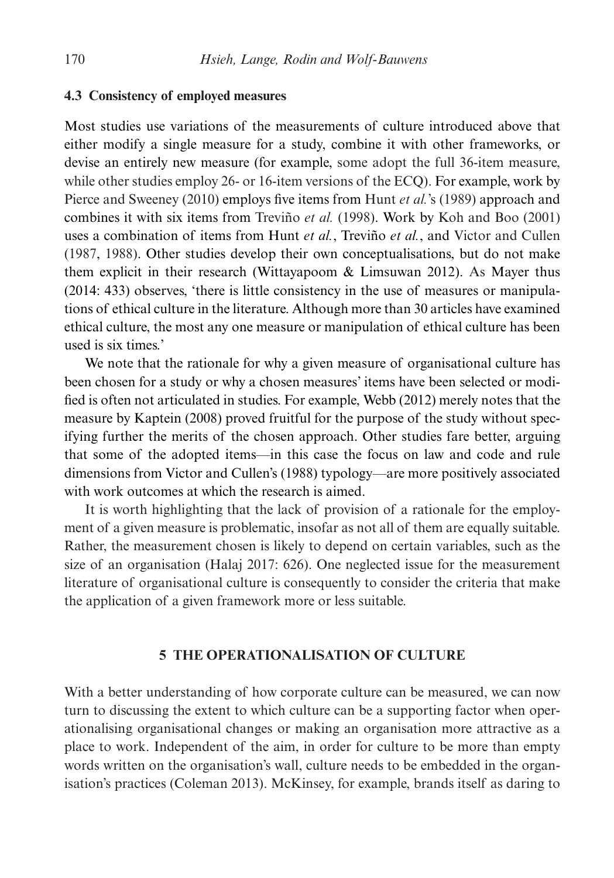## **4.3 Consistency of employed measures**

Most studies use variations of the measurements of culture introduced above that either modify a single measure for a study, combine it with other frameworks, or devise an entirely new measure (for example, some adopt the full 36-item measure, while other studies employ 26- or 16-item versions of the ECQ). For example, work by Pierce and Sweeney (2010) employs five items from Hunt *et al.*'s (1989) approach and combines it with six items from Treviño *et al.* (1998). Work by Koh and Boo (2001) uses a combination of items from Hunt *et al.*, Treviño *et al.*, and Victor and Cullen (1987, 1988). Other studies develop their own conceptualisations, but do not make them explicit in their research (Wittayapoom & Limsuwan 2012). As Mayer thus (2014: 433) observes, 'there is little consistency in the use of measures or manipulations of ethical culture in the literature. Although more than 30 articles have examined ethical culture, the most any one measure or manipulation of ethical culture has been used is six times.'

We note that the rationale for why a given measure of organisational culture has been chosen for a study or why a chosen measures' items have been selected or modified is often not articulated in studies. For example, Webb (2012) merely notes that the measure by Kaptein (2008) proved fruitful for the purpose of the study without specifying further the merits of the chosen approach. Other studies fare better, arguing that some of the adopted items—in this case the focus on law and code and rule dimensions from Victor and Cullen's (1988) typology—are more positively associated with work outcomes at which the research is aimed.

It is worth highlighting that the lack of provision of a rationale for the employment of a given measure is problematic, insofar as not all of them are equally suitable. Rather, the measurement chosen is likely to depend on certain variables, such as the size of an organisation (Halaj 2017: 626). One neglected issue for the measurement literature of organisational culture is consequently to consider the criteria that make the application of a given framework more or less suitable.

# **5 THE OPERATIONALISATION OF CULTURE**

With a better understanding of how corporate culture can be measured, we can now turn to discussing the extent to which culture can be a supporting factor when operationalising organisational changes or making an organisation more attractive as a place to work. Independent of the aim, in order for culture to be more than empty words written on the organisation's wall, culture needs to be embedded in the organisation's practices (Coleman 2013). McKinsey, for example, brands itself as daring to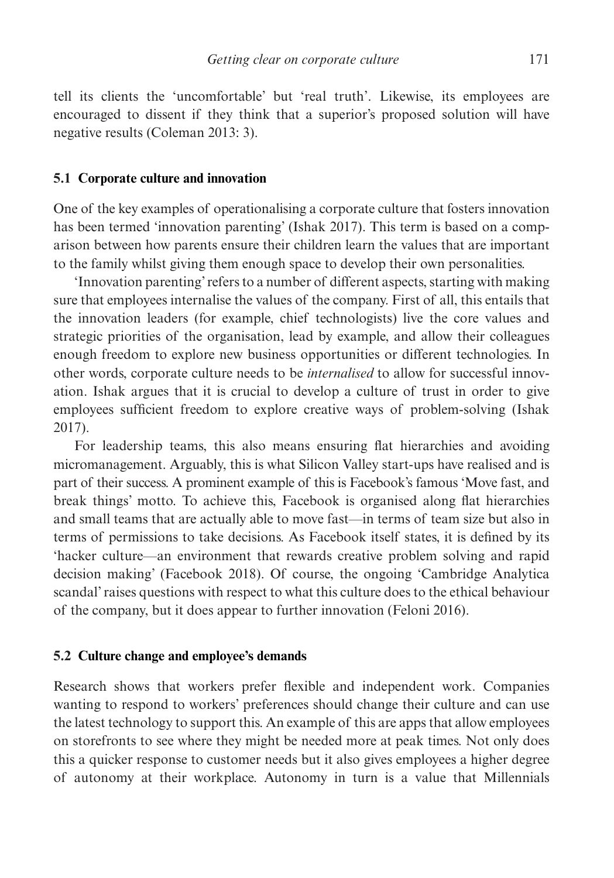tell its clients the 'uncomfortable' but 'real truth'. Likewise, its employees are encouraged to dissent if they think that a superior's proposed solution will have negative results (Coleman 2013: 3).

#### **5.1 Corporate culture and innovation**

One of the key examples of operationalising a corporate culture that fosters innovation has been termed 'innovation parenting' (Ishak 2017). This term is based on a comparison between how parents ensure their children learn the values that are important to the family whilst giving them enough space to develop their own personalities.

'Innovation parenting' refers to a number of different aspects, starting with making sure that employees internalise the values of the company. First of all, this entails that the innovation leaders (for example, chief technologists) live the core values and strategic priorities of the organisation, lead by example, and allow their colleagues enough freedom to explore new business opportunities or different technologies. In other words, corporate culture needs to be *internalised* to allow for successful innovation. Ishak argues that it is crucial to develop a culture of trust in order to give employees sufficient freedom to explore creative ways of problem-solving (Ishak 2017).

For leadership teams, this also means ensuring flat hierarchies and avoiding micromanagement. Arguably, this is what Silicon Valley start-ups have realised and is part of their success. A prominent example of this is Facebook's famous 'Move fast, and break things' motto. To achieve this, Facebook is organised along flat hierarchies and small teams that are actually able to move fast—in terms of team size but also in terms of permissions to take decisions. As Facebook itself states, it is defined by its 'hacker culture—an environment that rewards creative problem solving and rapid decision making' (Facebook 2018). Of course, the ongoing 'Cambridge Analytica scandal' raises questions with respect to what this culture does to the ethical behaviour of the company, but it does appear to further innovation (Feloni 2016).

## **5.2 Culture change and employee's demands**

Research shows that workers prefer flexible and independent work. Companies wanting to respond to workers' preferences should change their culture and can use the latest technology to support this. An example of this are apps that allow employees on storefronts to see where they might be needed more at peak times. Not only does this a quicker response to customer needs but it also gives employees a higher degree of autonomy at their workplace. Autonomy in turn is a value that Millennials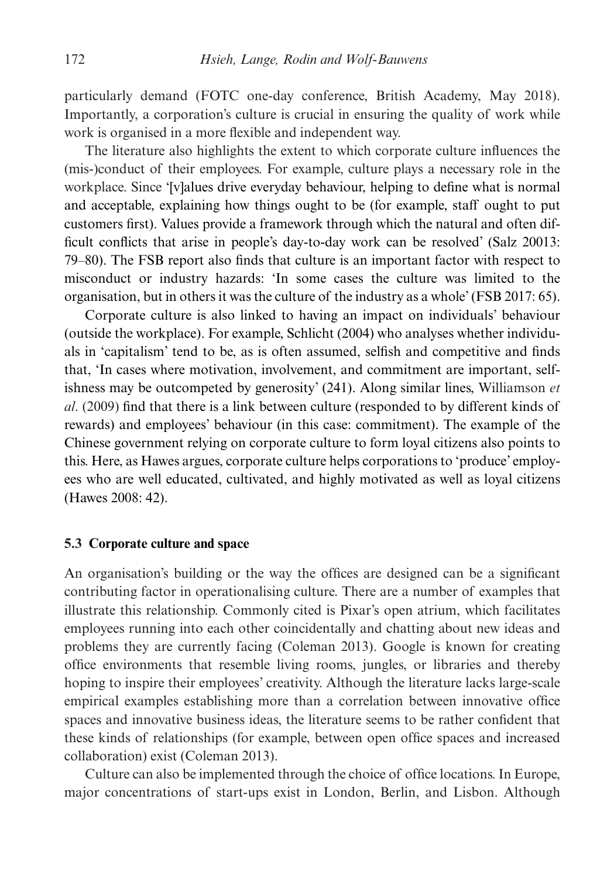particularly demand (FOTC one-day conference, British Academy, May 2018). Importantly, a corporation's culture is crucial in ensuring the quality of work while work is organised in a more flexible and independent way.

The literature also highlights the extent to which corporate culture influences the (mis-)conduct of their employees. For example, culture plays a necessary role in the workplace. Since '[v]alues drive everyday behaviour, helping to define what is normal and acceptable, explaining how things ought to be (for example, staff ought to put customers first). Values provide a framework through which the natural and often difficult conflicts that arise in people's day-to-day work can be resolved' (Salz 20013: 79–80). The FSB report also finds that culture is an important factor with respect to misconduct or industry hazards: 'In some cases the culture was limited to the organisation, but in others it was the culture of the industry as a whole' (FSB 2017: 65).

Corporate culture is also linked to having an impact on individuals' behaviour (outside the workplace). For example, Schlicht (2004) who analyses whether individuals in 'capitalism' tend to be, as is often assumed, selfish and competitive and finds that, 'In cases where motivation, involvement, and commitment are important, selfishness may be outcompeted by generosity' (241). Along similar lines, Williamson *et al*. (2009) find that there is a link between culture (responded to by different kinds of rewards) and employees' behaviour (in this case: commitment). The example of the Chinese government relying on corporate culture to form loyal citizens also points to this. Here, as Hawes argues, corporate culture helps corporations to 'produce' employees who are well educated, cultivated, and highly motivated as well as loyal citizens (Hawes 2008: 42).

# **5.3 Corporate culture and space**

An organisation's building or the way the offices are designed can be a significant contributing factor in operationalising culture. There are a number of examples that illustrate this relationship. Commonly cited is Pixar's open atrium, which facilitates employees running into each other coincidentally and chatting about new ideas and problems they are currently facing (Coleman 2013). Google is known for creating office environments that resemble living rooms, jungles, or libraries and thereby hoping to inspire their employees' creativity. Although the literature lacks large-scale empirical examples establishing more than a correlation between innovative office spaces and innovative business ideas, the literature seems to be rather confident that these kinds of relationships (for example, between open office spaces and increased collaboration) exist (Coleman 2013).

Culture can also be implemented through the choice of office locations. In Europe, major concentrations of start-ups exist in London, Berlin, and Lisbon. Although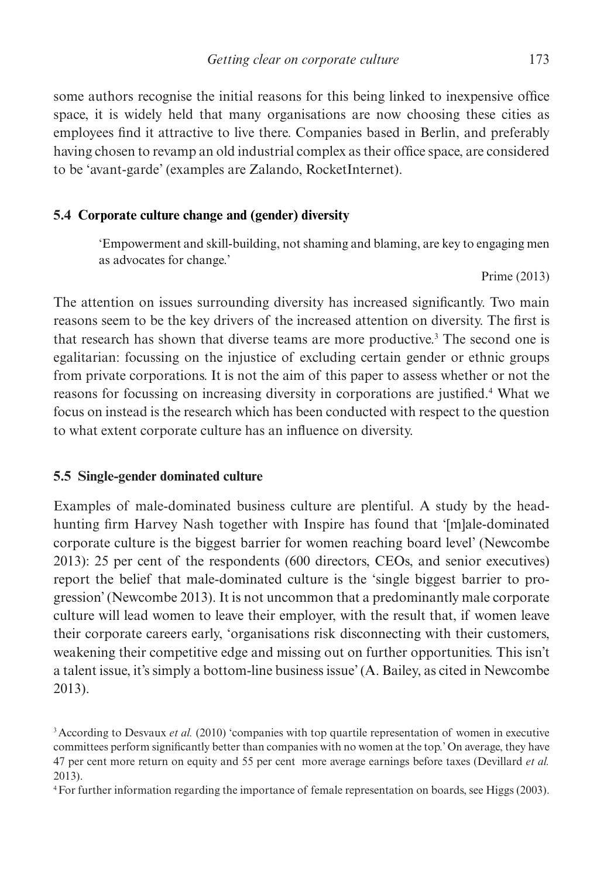some authors recognise the initial reasons for this being linked to inexpensive office space, it is widely held that many organisations are now choosing these cities as employees find it attractive to live there. Companies based in Berlin, and preferably having chosen to revamp an old industrial complex as their office space, are considered to be 'avant-garde' (examples are Zalando, RocketInternet).

# **5.4 Corporate culture change and (gender) diversity**

'Empowerment and skill-building, not shaming and blaming, are key to engaging men as advocates for change.'

Prime (2013)

The attention on issues surrounding diversity has increased significantly. Two main reasons seem to be the key drivers of the increased attention on diversity. The first is that research has shown that diverse teams are more productive.<sup>3</sup> The second one is egalitarian: focussing on the injustice of excluding certain gender or ethnic groups from private corporations. It is not the aim of this paper to assess whether or not the reasons for focussing on increasing diversity in corporations are justified.<sup>4</sup> What we focus on instead is the research which has been conducted with respect to the question to what extent corporate culture has an influence on diversity.

# **5.5 Single-gender dominated culture**

Examples of male-dominated business culture are plentiful. A study by the headhunting firm Harvey Nash together with Inspire has found that '[m]ale-dominated corporate culture is the biggest barrier for women reaching board level' (Newcombe 2013): 25 per cent of the respondents (600 directors, CEOs, and senior executives) report the belief that male-dominated culture is the 'single biggest barrier to progression' (Newcombe 2013). It is not uncommon that a predominantly male corporate culture will lead women to leave their employer, with the result that, if women leave their corporate careers early, 'organisations risk disconnecting with their customers, weakening their competitive edge and missing out on further opportunities. This isn't a talent issue, it's simply a bottom-line business issue' (A. Bailey, as cited in Newcombe 2013).

<sup>&</sup>lt;sup>3</sup> According to Desvaux *et al.* (2010) 'companies with top quartile representation of women in executive committees perform significantly better than companies with no women at the top.' On average, they have 47 per cent more return on equity and 55 per cent more average earnings before taxes (Devillard *et al.* 2013).

<sup>4</sup>For further information regarding the importance of female representation on boards, see Higgs (2003).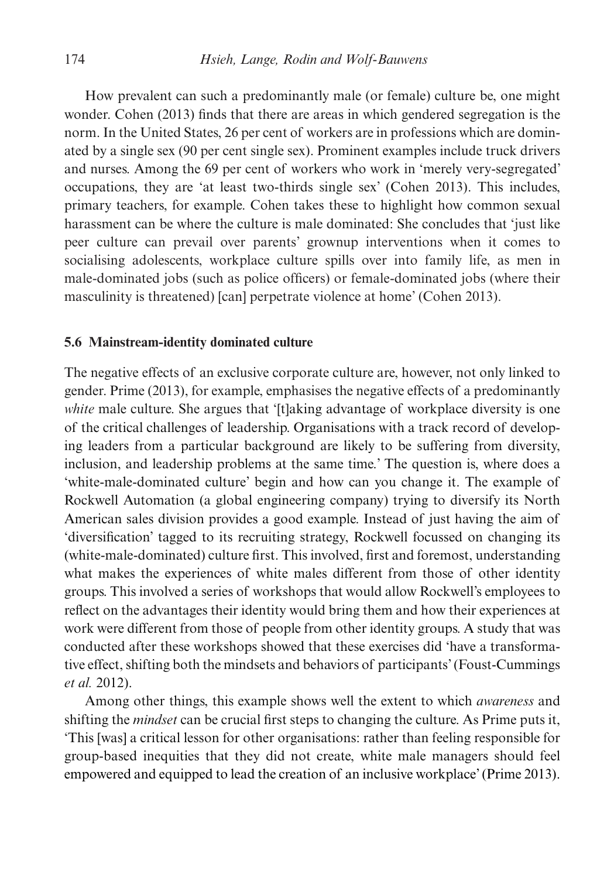How prevalent can such a predominantly male (or female) culture be, one might wonder. Cohen (2013) finds that there are areas in which gendered segregation is the norm. In the United States, 26 per cent of workers are in professions which are dominated by a single sex (90 per cent single sex). Prominent examples include truck drivers and nurses. Among the 69 per cent of workers who work in 'merely very-segregated' occupations, they are 'at least two-thirds single sex' (Cohen 2013). This includes, primary teachers, for example. Cohen takes these to highlight how common sexual harassment can be where the culture is male dominated: She concludes that 'just like peer culture can prevail over parents' grownup interventions when it comes to socialising adolescents, workplace culture spills over into family life, as men in male-dominated jobs (such as police officers) or female-dominated jobs (where their masculinity is threatened) [can] perpetrate violence at home' (Cohen 2013).

#### **5.6 Mainstream-identity dominated culture**

The negative effects of an exclusive corporate culture are, however, not only linked to gender. Prime (2013), for example, emphasises the negative effects of a predominantly *white* male culture. She argues that '[t]aking advantage of workplace diversity is one of the critical challenges of leadership. Organisations with a track record of developing leaders from a particular background are likely to be suffering from diversity, inclusion, and leadership problems at the same time.' The question is, where does a 'white-male-dominated culture' begin and how can you change it. The example of Rockwell Automation (a global engineering company) trying to diversify its North American sales division provides a good example. Instead of just having the aim of 'diversification' tagged to its recruiting strategy, Rockwell focussed on changing its (white-male-dominated) culture first. This involved, first and foremost, understanding what makes the experiences of white males different from those of other identity groups. This involved a series of workshops that would allow Rockwell's employees to reflect on the advantages their identity would bring them and how their experiences at work were different from those of people from other identity groups. A study that was conducted after these workshops showed that these exercises did 'have a transformative effect, shifting both the mindsets and behaviors of participants' (Foust-Cummings *et al.* 2012).

Among other things, this example shows well the extent to which *awareness* and shifting the *mindset* can be crucial first steps to changing the culture. As Prime puts it, 'This [was] a critical lesson for other organisations: rather than feeling responsible for group-based inequities that they did not create, white male managers should feel empowered and equipped to lead the creation of an inclusive workplace' (Prime 2013).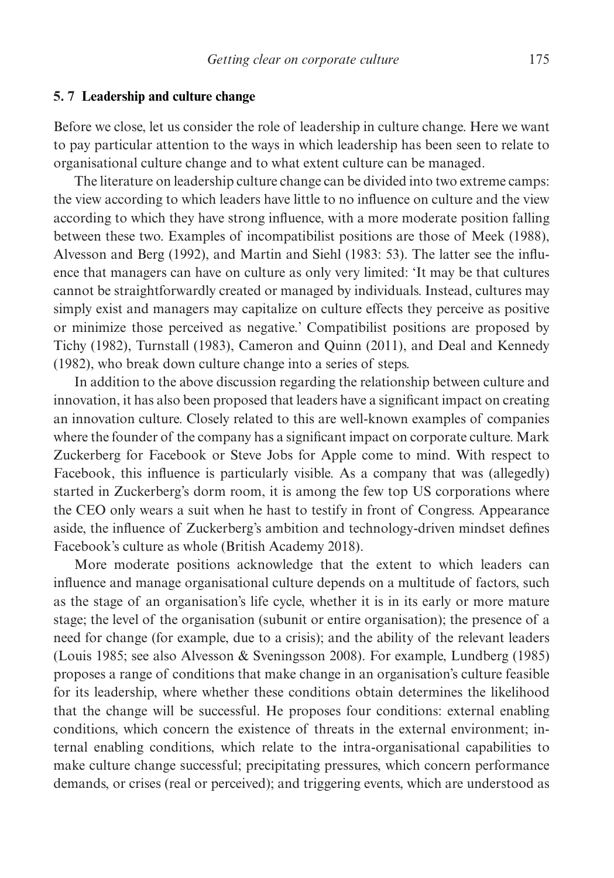# **5. 7 Leadership and culture change**

Before we close, let us consider the role of leadership in culture change. Here we want to pay particular attention to the ways in which leadership has been seen to relate to organisational culture change and to what extent culture can be managed.

The literature on leadership culture change can be divided into two extreme camps: the view according to which leaders have little to no influence on culture and the view according to which they have strong influence, with a more moderate position falling between these two. Examples of incompatibilist positions are those of Meek (1988), Alvesson and Berg (1992), and Martin and Siehl (1983: 53). The latter see the influence that managers can have on culture as only very limited: 'It may be that cultures cannot be straightforwardly created or managed by individuals. Instead, cultures may simply exist and managers may capitalize on culture effects they perceive as positive or minimize those perceived as negative.' Compatibilist positions are proposed by Tichy (1982), Turnstall (1983), Cameron and Quinn (2011), and Deal and Kennedy (1982), who break down culture change into a series of steps.

In addition to the above discussion regarding the relationship between culture and innovation, it has also been proposed that leaders have a significant impact on creating an innovation culture. Closely related to this are well-known examples of companies where the founder of the company has a significant impact on corporate culture. Mark Zuckerberg for Facebook or Steve Jobs for Apple come to mind. With respect to Facebook, this influence is particularly visible. As a company that was (allegedly) started in Zuckerberg's dorm room, it is among the few top US corporations where the CEO only wears a suit when he hast to testify in front of Congress. Appearance aside, the influence of Zuckerberg's ambition and technology-driven mindset defines Facebook's culture as whole (British Academy 2018).

More moderate positions acknowledge that the extent to which leaders can influence and manage organisational culture depends on a multitude of factors, such as the stage of an organisation's life cycle, whether it is in its early or more mature stage; the level of the organisation (subunit or entire organisation); the presence of a need for change (for example, due to a crisis); and the ability of the relevant leaders (Louis 1985; see also Alvesson & Sveningsson 2008). For example, Lundberg (1985) proposes a range of conditions that make change in an organisation's culture feasible for its leadership, where whether these conditions obtain determines the likelihood that the change will be successful. He proposes four conditions: external enabling conditions, which concern the existence of threats in the external environment; internal enabling conditions, which relate to the intra-organisational capabilities to make culture change successful; precipitating pressures, which concern performance demands, or crises (real or perceived); and triggering events, which are understood as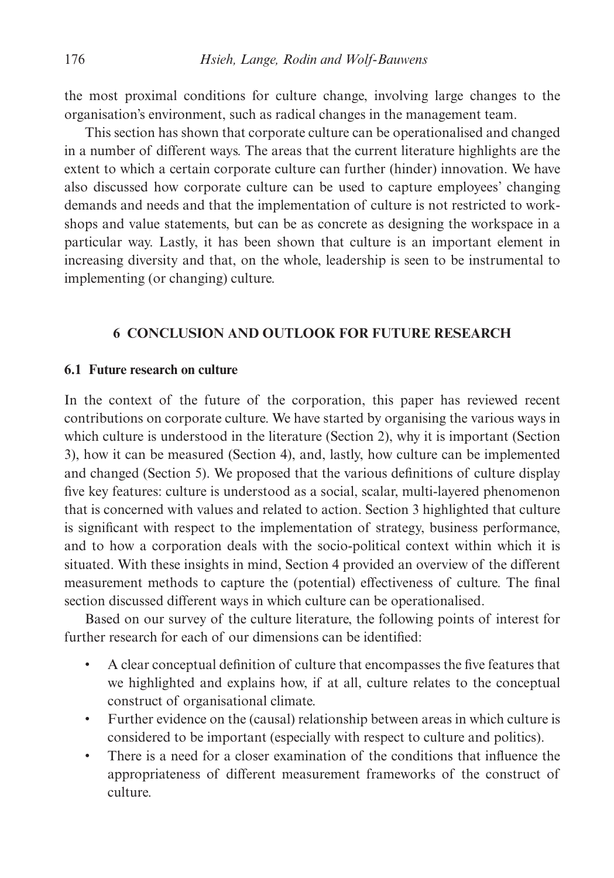the most proximal conditions for culture change, involving large changes to the organisation's environment, such as radical changes in the management team.

This section has shown that corporate culture can be operationalised and changed in a number of different ways. The areas that the current literature highlights are the extent to which a certain corporate culture can further (hinder) innovation. We have also discussed how corporate culture can be used to capture employees' changing demands and needs and that the implementation of culture is not restricted to workshops and value statements, but can be as concrete as designing the workspace in a particular way. Lastly, it has been shown that culture is an important element in increasing diversity and that, on the whole, leadership is seen to be instrumental to implementing (or changing) culture.

# **6 CONCLUSION AND OUTLOOK FOR FUTURE RESEARCH**

# **6.1 Future research on culture**

In the context of the future of the corporation, this paper has reviewed recent contributions on corporate culture. We have started by organising the various ways in which culture is understood in the literature (Section 2), why it is important (Section 3), how it can be measured (Section 4), and, lastly, how culture can be implemented and changed (Section 5). We proposed that the various definitions of culture display five key features: culture is understood as a social, scalar, multi-layered phenomenon that is concerned with values and related to action. Section 3 highlighted that culture is significant with respect to the implementation of strategy, business performance, and to how a corporation deals with the socio-political context within which it is situated. With these insights in mind, Section 4 provided an overview of the different measurement methods to capture the (potential) effectiveness of culture. The final section discussed different ways in which culture can be operationalised.

Based on our survey of the culture literature, the following points of interest for further research for each of our dimensions can be identified:

- A clear conceptual definition of culture that encompasses the five features that we highlighted and explains how, if at all, culture relates to the conceptual construct of organisational climate.
- Further evidence on the (causal) relationship between areas in which culture is considered to be important (especially with respect to culture and politics).
- There is a need for a closer examination of the conditions that influence the appropriateness of different measurement frameworks of the construct of culture.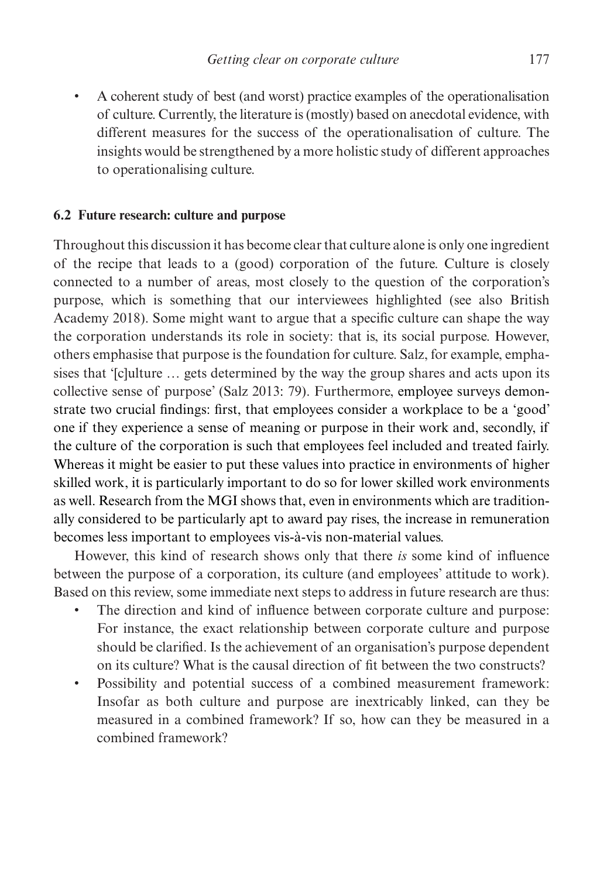• A coherent study of best (and worst) practice examples of the operationalisation of culture. Currently, the literature is (mostly) based on anecdotal evidence, with different measures for the success of the operationalisation of culture. The insights would be strengthened by a more holistic study of different approaches to operationalising culture.

# **6.2 Future research: culture and purpose**

Throughout this discussion it has become clear that culture alone is only one ingredient of the recipe that leads to a (good) corporation of the future. Culture is closely connected to a number of areas, most closely to the question of the corporation's purpose, which is something that our interviewees highlighted (see also British Academy 2018). Some might want to argue that a specific culture can shape the way the corporation understands its role in society: that is, its social purpose. However, others emphasise that purpose is the foundation for culture. Salz, for example, emphasises that '[c]ulture … gets determined by the way the group shares and acts upon its collective sense of purpose' (Salz 2013: 79). Furthermore, employee surveys demonstrate two crucial findings: first, that employees consider a workplace to be a 'good' one if they experience a sense of meaning or purpose in their work and, secondly, if the culture of the corporation is such that employees feel included and treated fairly. Whereas it might be easier to put these values into practice in environments of higher skilled work, it is particularly important to do so for lower skilled work environments as well. Research from the MGI shows that, even in environments which are traditionally considered to be particularly apt to award pay rises, the increase in remuneration becomes less important to employees vis-à-vis non-material values.

However, this kind of research shows only that there *is* some kind of influence between the purpose of a corporation, its culture (and employees' attitude to work). Based on this review, some immediate next steps to address in future research are thus:

- The direction and kind of influence between corporate culture and purpose: For instance, the exact relationship between corporate culture and purpose should be clarified. Is the achievement of an organisation's purpose dependent on its culture? What is the causal direction of fit between the two constructs?
- Possibility and potential success of a combined measurement framework: Insofar as both culture and purpose are inextricably linked, can they be measured in a combined framework? If so, how can they be measured in a combined framework?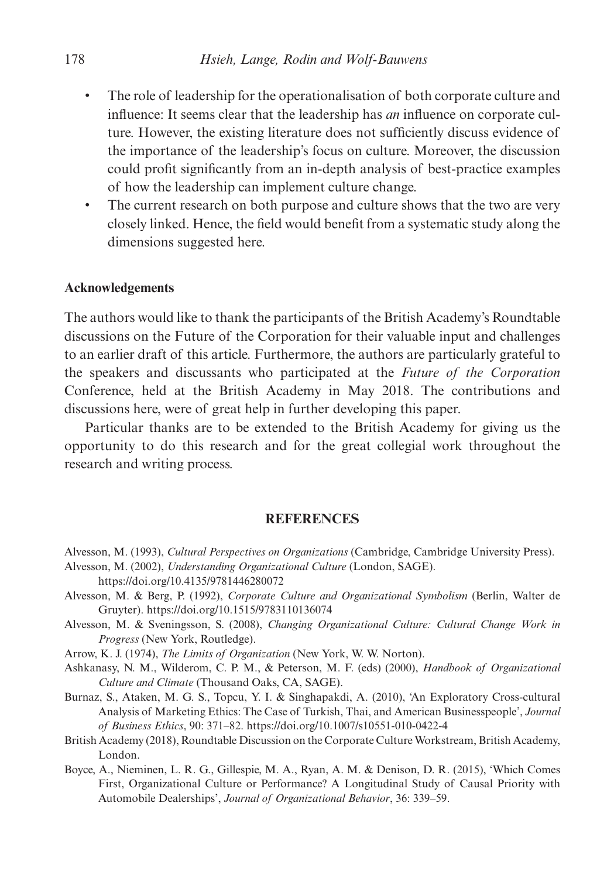- The role of leadership for the operationalisation of both corporate culture and influence: It seems clear that the leadership has *an* influence on corporate culture. However, the existing literature does not sufficiently discuss evidence of the importance of the leadership's focus on culture. Moreover, the discussion could profit significantly from an in-depth analysis of best-practice examples of how the leadership can implement culture change.
- The current research on both purpose and culture shows that the two are very closely linked. Hence, the field would benefit from a systematic study along the dimensions suggested here.

#### **Acknowledgements**

The authors would like to thank the participants of the British Academy's Roundtable discussions on the Future of the Corporation for their valuable input and challenges to an earlier draft of this article. Furthermore, the authors are particularly grateful to the speakers and discussants who participated at the *Future of the Corporation* Conference, held at the British Academy in May 2018. The contributions and discussions here, were of great help in further developing this paper.

Particular thanks are to be extended to the British Academy for giving us the opportunity to do this research and for the great collegial work throughout the research and writing process.

#### **REFERENCES**

- Alvesson, M. (1993), *Cultural Perspectives on Organizations* (Cambridge, Cambridge University Press). Alvesson, M. (2002), *Understanding Organizational Culture* (London, SAGE).
- https://doi.org/10.4135/9781446280072
- Alvesson, M. & Berg, P. (1992), *Corporate Culture and Organizational Symbolism* (Berlin, Walter de Gruyter). https://doi.org/10.1515/9783110136074
- Alvesson, M. & Sveningsson, S. (2008), *Changing Organizational Culture: Cultural Change Work in Progress* (New York, Routledge).

Arrow, K. J. (1974), *The Limits of Organization* (New York, W. W. Norton).

Ashkanasy, N. M., Wilderom, C. P. M., & Peterson, M. F. (eds) (2000), *Handbook of Organizational Culture and Climate* (Thousand Oaks, CA, SAGE).

- Burnaz, S., Ataken, M. G. S., Topcu, Y. I. & Singhapakdi, A. (2010), 'An Exploratory Cross-cultural Analysis of Marketing Ethics: The Case of Turkish, Thai, and American Businesspeople', *Journal of Business Ethics*, 90: 371–82. https://doi.org/10.1007/s10551-010-0422-4
- British Academy (2018), Roundtable Discussion on the Corporate Culture Workstream, British Academy, London.
- Boyce, A., Nieminen, L. R. G., Gillespie, M. A., Ryan, A. M. & Denison, D. R. (2015), 'Which Comes First, Organizational Culture or Performance? A Longitudinal Study of Causal Priority with Automobile Dealerships', *Journal of Organizational Behavior*, 36: 339–59.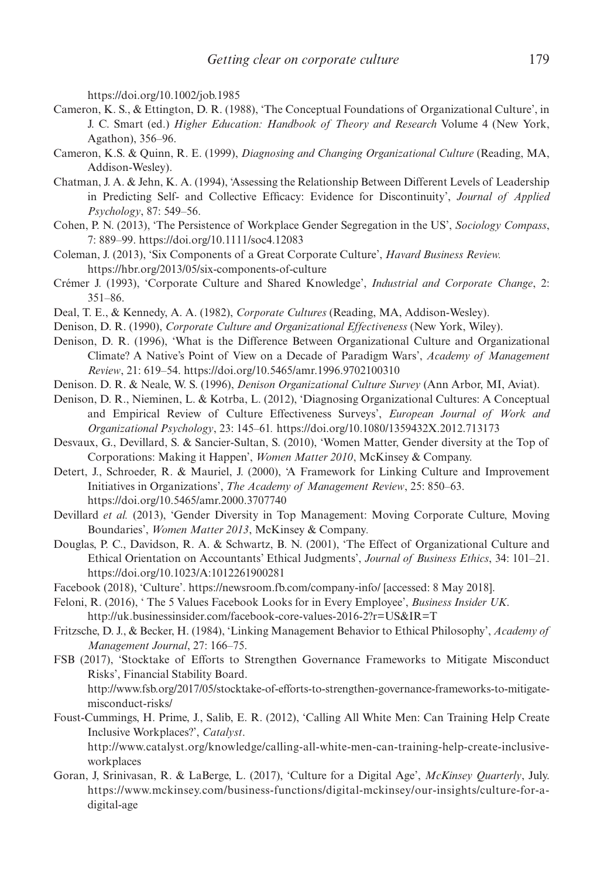https://doi.org/10.1002/job.1985

- Cameron, K. S., & Ettington, D. R. (1988), 'The Conceptual Foundations of Organizational Culture', in J. C. Smart (ed.) *Higher Education: Handbook of Theory and Research* Volume 4 (New York, Agathon), 356–96.
- Cameron, K.S. & Quinn, R. E. (1999), *Diagnosing and Changing Organizational Culture* (Reading, MA, Addison-Wesley).
- Chatman, J. A. & Jehn, K. A. (1994), 'Assessing the Relationship Between Different Levels of Leadership in Predicting Self- and Collective Efficacy: Evidence for Discontinuity', *Journal of Applied Psychology*, 87: 549–56.
- Cohen, P. N. (2013), 'The Persistence of Workplace Gender Segregation in the US', *Sociology Compass*, 7: 889–99. https://doi.org/10.1111/soc4.12083
- Coleman, J. (2013), 'Six Components of a Great Corporate Culture', *Havard Business Review.* https://hbr.org/2013/05/six-components-of-culture
- Crémer J. (1993), 'Corporate Culture and Shared Knowledge', *Industrial and Corporate Change*, 2: 351–86.
- Deal, T. E., & Kennedy, A. A. (1982), *Corporate Cultures* (Reading, MA, Addison-Wesley).
- Denison, D. R. (1990), *Corporate Culture and Organizational Effectiveness* (New York, Wiley).
- Denison, D. R. (1996), 'What is the Difference Between Organizational Culture and Organizational Climate? A Native's Point of View on a Decade of Paradigm Wars', *Academy of Management Review*, 21: 619–54. https://doi.org/10.5465/amr.1996.9702100310
- Denison. D. R. & Neale, W. S. (1996), *Denison Organizational Culture Survey* (Ann Arbor, MI, Aviat).
- Denison, D. R., Nieminen, L. & Kotrba, L. (2012), 'Diagnosing Organizational Cultures: A Conceptual and Empirical Review of Culture Effectiveness Surveys', *European Journal of Work and Organizational Psychology*, 23: 145–61*.* https://doi.org/10.1080/1359432X.2012.713173
- Desvaux, G., Devillard, S. & Sancier-Sultan, S. (2010), 'Women Matter, Gender diversity at the Top of Corporations: Making it Happen', *Women Matter 2010*, McKinsey & Company.
- Detert, J., Schroeder, R. & Mauriel, J. (2000), 'A Framework for Linking Culture and Improvement Initiatives in Organizations', *The Academy of Management Review*, 25: 850–63. https://doi.org/10.5465/amr.2000.3707740
- Devillard *et al.* (2013), 'Gender Diversity in Top Management: Moving Corporate Culture, Moving Boundaries', *Women Matter 2013*, McKinsey & Company*.*
- Douglas, P. C., Davidson, R. A. & Schwartz, B. N. (2001), 'The Effect of Organizational Culture and Ethical Orientation on Accountants' Ethical Judgments', *Journal of Business Ethics*, 34: 101–21. https://doi.org/10.1023/A:1012261900281
- Facebook (2018), 'Culture'. https://newsroom.fb.com/company-info/ [accessed: 8 May 2018].
- Feloni, R. (2016), ' The 5 Values Facebook Looks for in Every Employee', *Business Insider UK*. http://uk.businessinsider.com/facebook-core-values-2016-2?r=US&IR=T
- Fritzsche, D. J., & Becker, H. (1984), 'Linking Management Behavior to Ethical Philosophy', *Academy of Management Journal*, 27: 166–75.
- FSB (2017), 'Stocktake of Efforts to Strengthen Governance Frameworks to Mitigate Misconduct Risks', Financial Stability Board.

http://www.fsb.org/2017/05/stocktake-of-efforts-to-strengthen-governance-frameworks-to-mitigatemisconduct-risks/

Foust-Cummings, H. Prime, J., Salib, E. R. (2012), 'Calling All White Men: Can Training Help Create Inclusive Workplaces?', *Catalyst*.

http://www.catalyst.org/knowledge/calling-all-white-men-can-training-help-create-inclusiveworkplaces

Goran, J, Srinivasan, R. & LaBerge, L. (2017), 'Culture for a Digital Age', *McKinsey Quarterly*, July. https://www.mckinsey.com/business-functions/digital-mckinsey/our-insights/culture-for-adigital-age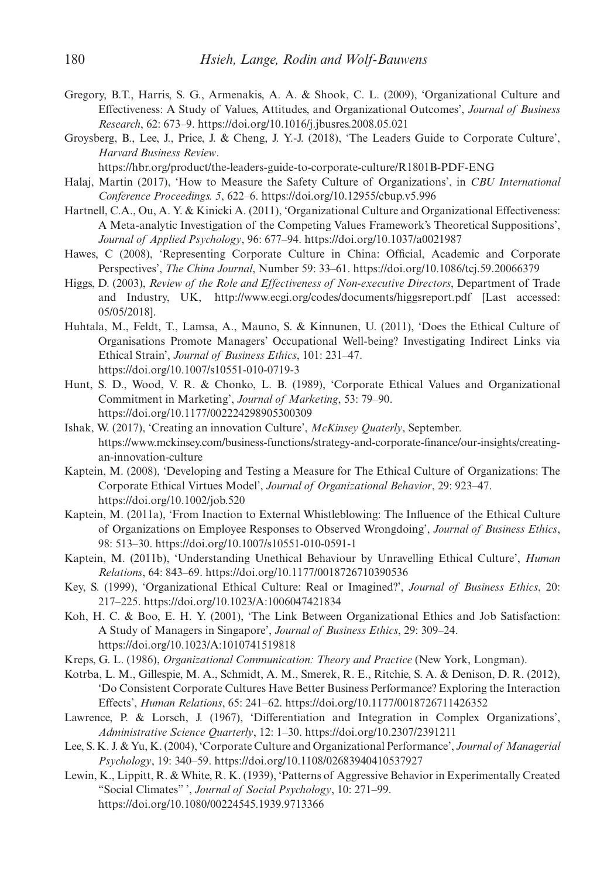- Gregory, B.T., Harris, S. G., Armenakis, A. A. & Shook, C. L. (2009), 'Organizational Culture and Effectiveness: A Study of Values, Attitudes, and Organizational Outcomes', *Journal of Business Research*, 62: 673–9. https://doi.org/10.1016/j.jbusres.2008.05.021
- Groysberg, B., Lee, J., Price, J. & Cheng, J. Y.-J. (2018), 'The Leaders Guide to Corporate Culture', *Harvard Business Review*.

https://hbr.org/product/the-leaders-guide-to-corporate-culture/R1801B-PDF-ENG

- Halaj, Martin (2017), 'How to Measure the Safety Culture of Organizations', in *CBU International Conference Proceedings. 5*, 622–6. https://doi.org/10.12955/cbup.v5.996
- Hartnell, C.A., Ou, A. Y. & Kinicki A. (2011), 'Organizational Culture and Organizational Effectiveness: A Meta-analytic Investigation of the Competing Values Framework's Theoretical Suppositions', *Journal of Applied Psychology*, 96: 677–94. https://doi.org/10.1037/a0021987
- Hawes, C (2008), 'Representing Corporate Culture in China: Official, Academic and Corporate Perspectives', *The China Journal*, Number 59: 33–61. https://doi.org/10.1086/tcj.59.20066379
- Higgs, D. (2003), *Review of the Role and Effectiveness of Non-executive Directors*, Department of Trade and Industry, UK, http://www.ecgi.org/codes/documents/higgsreport.pdf [Last accessed: 05/05/2018].
- Huhtala, M., Feldt, T., Lamsa, A., Mauno, S. & Kinnunen, U. (2011), 'Does the Ethical Culture of Organisations Promote Managers' Occupational Well-being? Investigating Indirect Links via Ethical Strain', *Journal of Business Ethics*, 101: 231–47. https://doi.org/10.1007/s10551-010-0719-3
- Hunt, S. D., Wood, V. R. & Chonko, L. B. (1989), 'Corporate Ethical Values and Organizational Commitment in Marketing', *Journal of Marketing*, 53: 79–90. https://doi.org/10.1177/002224298905300309
- Ishak, W. (2017), 'Creating an innovation Culture', *McKinsey Quaterly*, September. https://www.mckinsey.com/business-functions/strategy-and-corporate-finance/our-insights/creatingan-innovation-culture
- Kaptein, M. (2008), 'Developing and Testing a Measure for The Ethical Culture of Organizations: The Corporate Ethical Virtues Model', *Journal of Organizational Behavior*, 29: 923–47. https://doi.org/10.1002/job.520
- Kaptein, M. (2011a), 'From Inaction to External Whistleblowing: The Influence of the Ethical Culture of Organizations on Employee Responses to Observed Wrongdoing', *Journal of Business Ethics*, 98: 513–30. https://doi.org/10.1007/s10551-010-0591-1
- Kaptein, M. (2011b), 'Understanding Unethical Behaviour by Unravelling Ethical Culture', *Human Relations*, 64: 843–69. https://doi.org/10.1177/0018726710390536
- Key, S. (1999), 'Organizational Ethical Culture: Real or Imagined?', *Journal of Business Ethics*, 20: 217–225. https://doi.org/10.1023/A:1006047421834
- Koh, H. C. & Boo, E. H. Y. (2001), 'The Link Between Organizational Ethics and Job Satisfaction: A Study of Managers in Singapore', *Journal of Business Ethics*, 29: 309–24. https://doi.org/10.1023/A:1010741519818
- Kreps, G. L. (1986), *Organizational Communication: Theory and Practice* (New York, Longman).
- Kotrba, L. M., Gillespie, M. A., Schmidt, A. M., Smerek, R. E., Ritchie, S. A. & Denison, D. R. (2012), 'Do Consistent Corporate Cultures Have Better Business Performance? Exploring the Interaction Effects', *Human Relations*, 65: 241–62. https://doi.org/10.1177/0018726711426352
- Lawrence, P. & Lorsch, J. (1967), 'Differentiation and Integration in Complex Organizations', *Administrative Science Quarterly*, 12: 1–30. https://doi.org/10.2307/2391211
- Lee, S. K. J. & Yu, K. (2004), 'Corporate Culture and Organizational Performance', *Journal of Managerial Psychology*, 19: 340–59. https://doi.org/10.1108/02683940410537927
- Lewin, K., Lippitt, R. & White, R. K. (1939), 'Patterns of Aggressive Behavior in Experimentally Created "Social Climates" ', *Journal of Social Psychology*, 10: 271–99. https://doi.org/10.1080/00224545.1939.9713366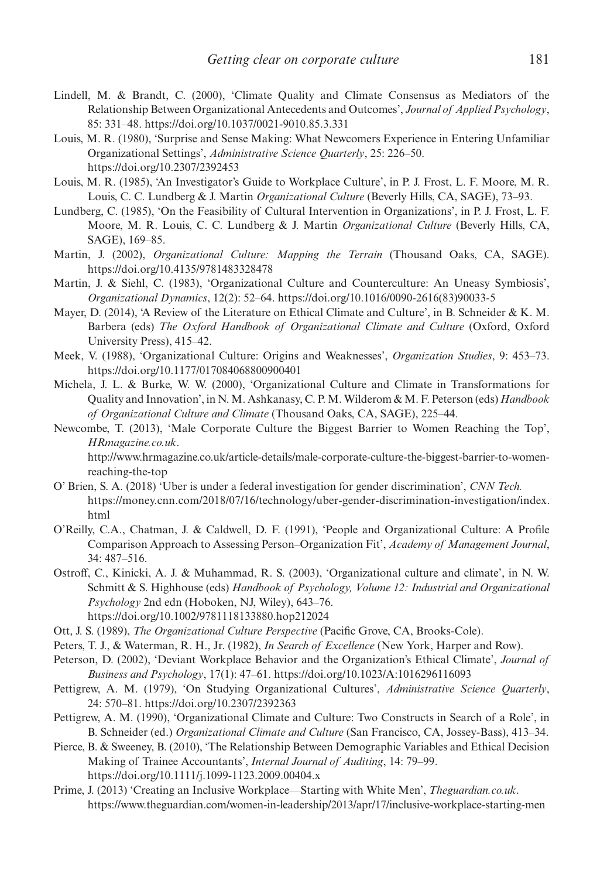- Lindell, M. & Brandt, C. (2000), 'Climate Quality and Climate Consensus as Mediators of the Relationship Between Organizational Antecedents and Outcomes', *Journal of Applied Psychology*, 85: 331–48. https://doi.org/10.1037/0021-9010.85.3.331
- Louis, M. R. (1980), 'Surprise and Sense Making: What Newcomers Experience in Entering Unfamiliar Organizational Settings', *Administrative Science Quarterly*, 25: 226–50. https://doi.org/10.2307/2392453
- Louis, M. R. (1985), 'An Investigator's Guide to Workplace Culture', in P. J. Frost, L. F. Moore, M. R. Louis, C. C. Lundberg & J. Martin *Organizational Culture* (Beverly Hills, CA, SAGE), 73–93.
- Lundberg, C. (1985), 'On the Feasibility of Cultural Intervention in Organizations', in P. J. Frost, L. F. Moore, M. R. Louis, C. C. Lundberg & J. Martin *Organizational Culture* (Beverly Hills, CA, SAGE), 169–85.
- Martin, J. (2002), *Organizational Culture: Mapping the Terrain* (Thousand Oaks, CA, SAGE). https://doi.org/10.4135/9781483328478
- Martin, J. & Siehl, C. (1983), 'Organizational Culture and Counterculture: An Uneasy Symbiosis', *Organizational Dynamics*, 12(2): 52–64. https://doi.org/10.1016/0090-2616(83)90033-5
- Mayer, D. (2014), 'A Review of the Literature on Ethical Climate and Culture', in B. Schneider & K. M. Barbera (eds) *The Oxford Handbook of Organizational Climate and Culture* (Oxford, Oxford University Press), 415–42.
- Meek, V. (1988), 'Organizational Culture: Origins and Weaknesses', *Organization Studies*, 9: 453–73. https://doi.org/10.1177/017084068800900401
- Michela, J. L. & Burke, W. W. (2000), 'Organizational Culture and Climate in Transformations for Quality and Innovation', in N. M. Ashkanasy, C. P. M. Wilderom & M. F. Peterson (eds) *Handbook of Organizational Culture and Climate* (Thousand Oaks, CA, SAGE), 225–44.
- Newcombe, T. (2013), 'Male Corporate Culture the Biggest Barrier to Women Reaching the Top', *HRmagazine.co.uk*.

http://www.hrmagazine.co.uk/article-details/male-corporate-culture-the-biggest-barrier-to-womenreaching-the-top

- O' Brien, S. A. (2018) 'Uber is under a federal investigation for gender discrimination', *CNN Tech.* https://money.cnn.com/2018/07/16/technology/uber-gender-discrimination-investigation/index. html
- O'Reilly, C.A., Chatman, J. & Caldwell, D. F. (1991), 'People and Organizational Culture: A Profile Comparison Approach to Assessing Person–Organization Fit', *Academy of Management Journal*, 34: 487–516.
- Ostroff, C., Kinicki, A. J. & Muhammad, R. S. (2003), 'Organizational culture and climate', in N. W. Schmitt & S. Highhouse (eds) *Handbook of Psychology, Volume 12: Industrial and Organizational Psychology* 2nd edn (Hoboken, NJ, Wiley), 643–76. https://doi.org/10.1002/9781118133880.hop212024
- Ott, J. S. (1989), *The Organizational Culture Perspective* (Pacific Grove, CA, Brooks-Cole).
- Peters, T. J., & Waterman, R. H., Jr. (1982), *In Search of Excellence* (New York, Harper and Row).
- Peterson, D. (2002), 'Deviant Workplace Behavior and the Organization's Ethical Climate', *Journal of Business and Psychology*, 17(1): 47–61. https://doi.org/10.1023/A:1016296116093
- Pettigrew, A. M. (1979), 'On Studying Organizational Cultures', *Administrative Science Quarterly*, 24: 570–81. https://doi.org/10.2307/2392363
- Pettigrew, A. M. (1990), 'Organizational Climate and Culture: Two Constructs in Search of a Role', in B. Schneider (ed.) *Organizational Climate and Culture* (San Francisco, CA, Jossey-Bass), 413–34.
- Pierce, B. & Sweeney, B. (2010), 'The Relationship Between Demographic Variables and Ethical Decision Making of Trainee Accountants', *Internal Journal of Auditing*, 14: 79–99. https://doi.org/10.1111/j.1099-1123.2009.00404.x
- Prime, J. (2013) 'Creating an Inclusive Workplace—Starting with White Men', *Theguardian.co.uk*. https://www.theguardian.com/women-in-leadership/2013/apr/17/inclusive-workplace-starting-men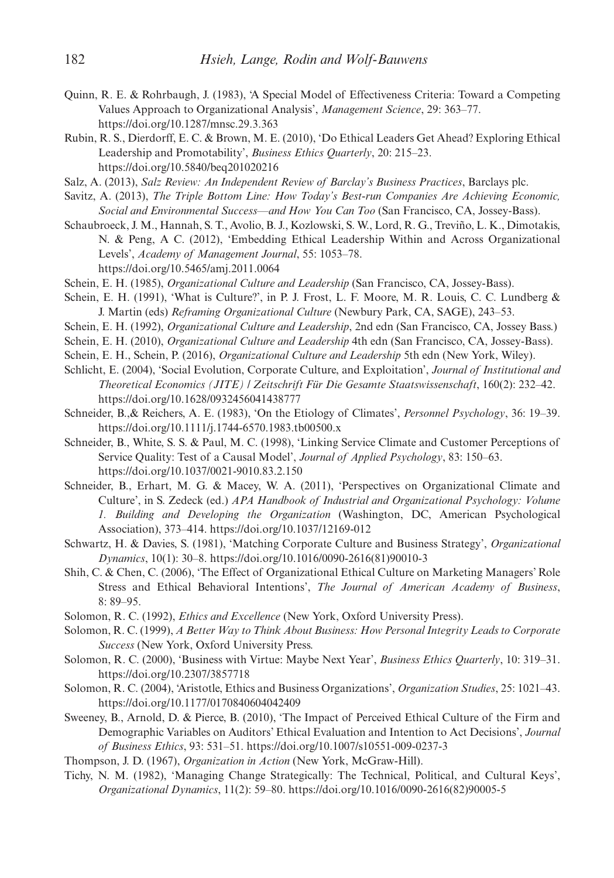- Quinn, R. E. & Rohrbaugh, J. (1983), 'A Special Model of Effectiveness Criteria: Toward a Competing Values Approach to Organizational Analysis', *Management Science*, 29: 363–77. https://doi.org/10.1287/mnsc.29.3.363
- Rubin, R. S., Dierdorff, E. C. & Brown, M. E. (2010), 'Do Ethical Leaders Get Ahead? Exploring Ethical Leadership and Promotability', *Business Ethics Quarterly*, 20: 215–23. https://doi.org/10.5840/beq201020216

Salz, A. (2013), *Salz Review: An Independent Review of Barclay's Business Practices*, Barclays plc.

- Savitz, A. (2013), *The Triple Bottom Line: How Today's Best-run Companies Are Achieving Economic, Social and Environmental Success—and How You Can Too* (San Francisco, CA, Jossey-Bass).
- Schaubroeck, J. M., Hannah, S. T., Avolio, B. J., Kozlowski, S. W., Lord, R. G., Treviño, L. K., Dimotakis, N. & Peng, A C. (2012), 'Embedding Ethical Leadership Within and Across Organizational Levels', *Academy of Management Journal*, 55: 1053–78. https://doi.org/10.5465/amj.2011.0064
- Schein, E. H. (1985), *Organizational Culture and Leadership* (San Francisco, CA, Jossey-Bass).
- Schein, E. H. (1991), 'What is Culture?', in P. J. Frost, L. F. Moore, M. R. Louis, C. C. Lundberg & J. Martin (eds) *Reframing Organizational Culture* (Newbury Park, CA, SAGE), 243–53.
- Schein, E. H. (1992), *Organizational Culture and Leadership*, 2nd edn (San Francisco, CA, Jossey Bass.)
- Schein, E. H. (2010), *Organizational Culture and Leadership* 4th edn (San Francisco, CA, Jossey-Bass).
- Schein, E. H., Schein, P. (2016), *Organizational Culture and Leadership* 5th edn (New York, Wiley).
- Schlicht, E. (2004), 'Social Evolution, Corporate Culture, and Exploitation', *Journal of Institutional and Theoretical Economics (JITE) / Zeitschrift Für Die Gesamte Staatswissenschaft*, 160(2): 232–42. https://doi.org/10.1628/0932456041438777
- Schneider, B.,& Reichers, A. E. (1983), 'On the Etiology of Climates', *Personnel Psychology*, 36: 19–39. https://doi.org/10.1111/j.1744-6570.1983.tb00500.x
- Schneider, B., White, S. S. & Paul, M. C. (1998), 'Linking Service Climate and Customer Perceptions of Service Quality: Test of a Causal Model', *Journal of Applied Psychology*, 83: 150–63. https://doi.org/10.1037/0021-9010.83.2.150
- Schneider, B., Erhart, M. G. & Macey, W. A. (2011), 'Perspectives on Organizational Climate and Culture', in S. Zedeck (ed.) *APA Handbook of Industrial and Organizational Psychology: Volume 1. Building and Developing the Organization* (Washington, DC, American Psychological Association), 373–414. https://doi.org/10.1037/12169-012
- Schwartz, H. & Davies, S. (1981), 'Matching Corporate Culture and Business Strategy', *Organizational Dynamics*, 10(1): 30–8. https://doi.org/10.1016/0090-2616(81)90010-3
- Shih, C. & Chen, C. (2006), 'The Effect of Organizational Ethical Culture on Marketing Managers' Role Stress and Ethical Behavioral Intentions', *The Journal of American Academy of Business*, 8: 89–95.
- Solomon, R. C. (1992), *Ethics and Excellence* (New York, Oxford University Press).
- Solomon, R. C. (1999), *A Better Way to Think About Business: How Personal Integrity Leads to Corporate Success* (New York, Oxford University Press.
- Solomon, R. C. (2000), 'Business with Virtue: Maybe Next Year', *Business Ethics Quarterly*, 10: 319–31. https://doi.org/10.2307/3857718
- Solomon, R. C. (2004), 'Aristotle, Ethics and Business Organizations', *Organization Studies*, 25: 1021–43. https://doi.org/10.1177/0170840604042409
- Sweeney, B., Arnold, D. & Pierce, B. (2010), 'The Impact of Perceived Ethical Culture of the Firm and Demographic Variables on Auditors' Ethical Evaluation and Intention to Act Decisions', *Journal of Business Ethics*, 93: 531–51. https://doi.org/10.1007/s10551-009-0237-3
- Thompson, J. D. (1967), *Organization in Action* (New York, McGraw-Hill).
- Tichy, N. M. (1982), 'Managing Change Strategically: The Technical, Political, and Cultural Keys', *Organizational Dynamics*, 11(2): 59–80. https://doi.org/10.1016/0090-2616(82)90005-5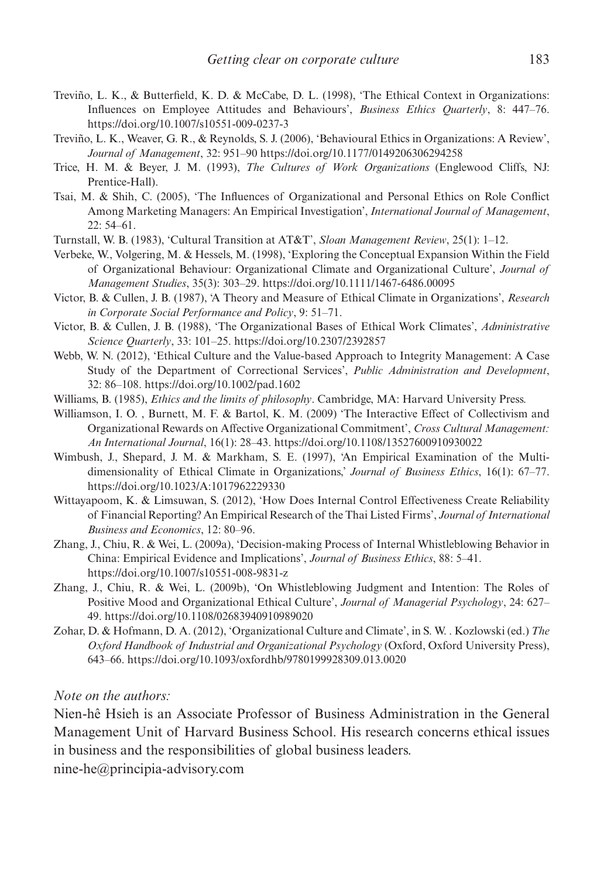- Treviño, L. K., & Butterfield, K. D. & McCabe, D. L. (1998), 'The Ethical Context in Organizations: Influences on Employee Attitudes and Behaviours', *Business Ethics Quarterly*, 8: 447–76. https://doi.org/10.1007/s10551-009-0237-3
- Treviño, L. K., Weaver, G. R., & Reynolds, S. J. (2006), 'Behavioural Ethics in Organizations: A Review', *Journal of Management*, 32: 951–90 https://doi.org/10.1177/0149206306294258
- Trice, H. M. & Beyer, J. M. (1993), *The Cultures of Work Organizations* (Englewood Cliffs, NJ: Prentice-Hall).
- Tsai, M. & Shih, C. (2005), 'The Influences of Organizational and Personal Ethics on Role Conflict Among Marketing Managers: An Empirical Investigation', *International Journal of Management*, 22: 54–61.
- Turnstall, W. B. (1983), 'Cultural Transition at AT&T', *Sloan Management Review*, 25(1): 1–12.
- Verbeke, W., Volgering, M. & Hessels, M. (1998), 'Exploring the Conceptual Expansion Within the Field of Organizational Behaviour: Organizational Climate and Organizational Culture', *Journal of Management Studies*, 35(3): 303–29. https://doi.org/10.1111/1467-6486.00095
- Victor, B. & Cullen, J. B. (1987), 'A Theory and Measure of Ethical Climate in Organizations', *Research in Corporate Social Performance and Policy*, 9: 51–71.
- Victor, B. & Cullen, J. B. (1988), 'The Organizational Bases of Ethical Work Climates', *Administrative Science Quarterly*, 33: 101–25. https://doi.org/10.2307/2392857
- Webb, W. N. (2012), 'Ethical Culture and the Value-based Approach to Integrity Management: A Case Study of the Department of Correctional Services', *Public Administration and Development*, 32: 86–108. https://doi.org/10.1002/pad.1602
- Williams, B. (1985), *Ethics and the limits of philosophy*. Cambridge, MA: Harvard University Press.
- Williamson, I. O. , Burnett, M. F. & Bartol, K. M. (2009) 'The Interactive Effect of Collectivism and Organizational Rewards on Affective Organizational Commitment', *Cross Cultural Management: An International Journal*, 16(1): 28–43. https://doi.org/10.1108/13527600910930022
- Wimbush, J., Shepard, J. M. & Markham, S. E. (1997), 'An Empirical Examination of the Multidimensionality of Ethical Climate in Organizations,' *Journal of Business Ethics*, 16(1): 67–77. https://doi.org/10.1023/A:1017962229330
- Wittayapoom, K. & Limsuwan, S. (2012), 'How Does Internal Control Effectiveness Create Reliability of Financial Reporting? An Empirical Research of the Thai Listed Firms', *Journal of International Business and Economics*, 12: 80–96.
- Zhang, J., Chiu, R. & Wei, L. (2009a), 'Decision-making Process of Internal Whistleblowing Behavior in China: Empirical Evidence and Implications', *Journal of Business Ethics*, 88: 5–41. https://doi.org/10.1007/s10551-008-9831-z
- Zhang, J., Chiu, R. & Wei, L. (2009b), 'On Whistleblowing Judgment and Intention: The Roles of Positive Mood and Organizational Ethical Culture', *Journal of Managerial Psychology*, 24: 627– 49. https://doi.org/10.1108/02683940910989020
- Zohar, D. & Hofmann, D. A. (2012), 'Organizational Culture and Climate', in S. W. . Kozlowski (ed.) *The Oxford Handbook of Industrial and Organizational Psychology* (Oxford, Oxford University Press), 643–66. https://doi.org/10.1093/oxfordhb/9780199928309.013.0020

# *Note on the authors:*

Nien-hê Hsieh is an Associate Professor of Business Administration in the General Management Unit of Harvard Business School. His research concerns ethical issues in business and the responsibilities of global business leaders.

nine-he@principia-advisory.com